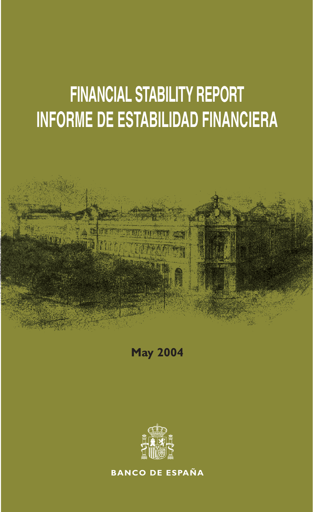# **FINANCIAL STABILITY REPORT INFORME DE ESTABILIDAD FINANCIERA**



**May 2004**



**BANCO DE ESPAÑA**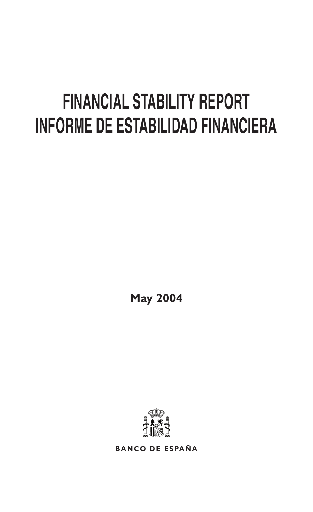# **FINANCIAL STABILITY REPORT INFORME DE ESTABILIDAD FINANCIERA**

**May 2004**



**BANCO DE ESPAÑA**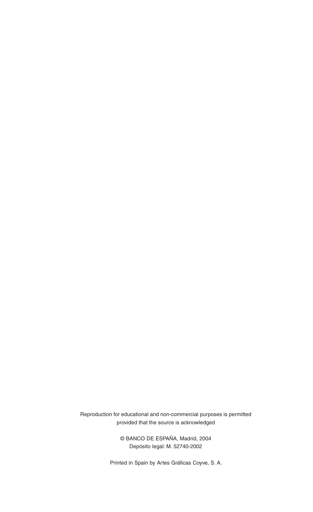Reproduction for educational and non-commercial purposes is permitted provided that the source is acknowledged

> © BANCO DE ESPAÑA, Madrid, 2004 Depósito legal: M. 52740-2002

Printed in Spain by Artes Gráficas Coyve, S. A.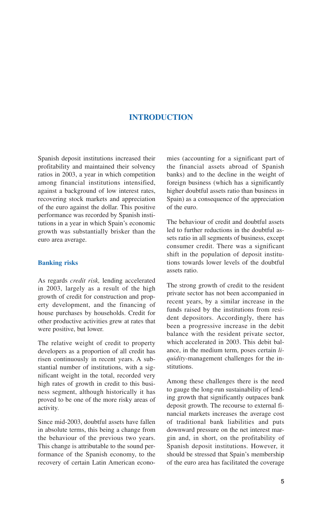## **INTRODUCTION**

Spanish deposit institutions increased their profitability and maintained their solvency ratios in 2003, a year in which competition among financial institutions intensified, against a background of low interest rates, recovering stock markets and appreciation of the euro against the dollar. This positive performance was recorded by Spanish institutions in a year in which Spain's economic growth was substantially brisker than the euro area average.

## **Banking risks**

As regards *credit risk,* lending accelerated in 2003, largely as a result of the high growth of credit for construction and property development, and the financing of house purchases by households. Credit for other productive activities grew at rates that were positive, but lower.

The relative weight of credit to property developers as a proportion of all credit has risen continuously in recent years. A substantial number of institutions, with a significant weight in the total, recorded very high rates of growth in credit to this business segment, although historically it has proved to be one of the more risky areas of activity.

Since mid-2003, doubtful assets have fallen in absolute terms, this being a change from the behaviour of the previous two years. This change is attributable to the sound performance of the Spanish economy, to the recovery of certain Latin American economies (accounting for a significant part of the financial assets abroad of Spanish banks) and to the decline in the weight of foreign business (which has a significantly higher doubtful assets ratio than business in Spain) as a consequence of the appreciation of the euro.

The behaviour of credit and doubtful assets led to further reductions in the doubtful assets ratio in all segments of business, except consumer credit. There was a significant shift in the population of deposit institutions towards lower levels of the doubtful assets ratio.

The strong growth of credit to the resident private sector has not been accompanied in recent years, by a similar increase in the funds raised by the institutions from resident depositors. Accordingly, there has been a progressive increase in the debit balance with the resident private sector, which accelerated in 2003. This debit balance, in the medium term, poses certain *liquidity-*management challenges for the institutions.

Among these challenges there is the need to gauge the long-run sustainability of lending growth that significantly outpaces bank deposit growth. The recourse to external financial markets increases the average cost of traditional bank liabilities and puts downward pressure on the net interest margin and, in short, on the profitability of Spanish deposit institutions. However, it should be stressed that Spain's membership of the euro area has facilitated the coverage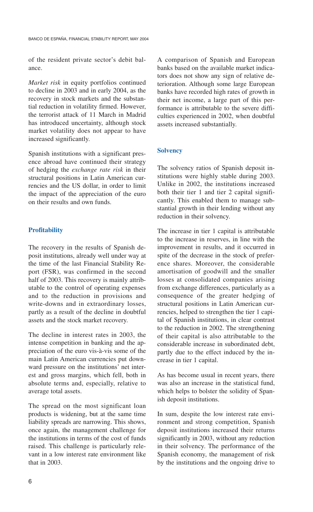of the resident private sector's debit balance.

*Market risk* in equity portfolios continued to decline in 2003 and in early 2004, as the recovery in stock markets and the substantial reduction in volatility firmed. However, the terrorist attack of 11 March in Madrid has introduced uncertainty, although stock market volatility does not appear to have increased significantly.

Spanish institutions with a significant presence abroad have continued their strategy of hedging the *exchange rate risk* in their structural positions in Latin American currencies and the US dollar, in order to limit the impact of the appreciation of the euro on their results and own funds.

## **Profitability**

The recovery in the results of Spanish deposit institutions, already well under way at the time of the last Financial Stability Report (FSR), was confirmed in the second half of 2003. This recovery is mainly attributable to the control of operating expenses and to the reduction in provisions and write-downs and in extraordinary losses, partly as a result of the decline in doubtful assets and the stock market recovery.

The decline in interest rates in 2003, the intense competition in banking and the appreciation of the euro vis-à-vis some of the main Latin American currencies put downward pressure on the institutions' net interest and gross margins, which fell, both in absolute terms and, especially, relative to average total assets.

The spread on the most significant loan products is widening, but at the same time liability spreads are narrowing. This shows, once again, the management challenge for the institutions in terms of the cost of funds raised. This challenge is particularly relevant in a low interest rate environment like that in 2003.

A comparison of Spanish and European banks based on the available market indicators does not show any sign of relative deterioration. Although some large European banks have recorded high rates of growth in their net income, a large part of this performance is attributable to the severe difficulties experienced in 2002, when doubtful assets increased substantially.

## **Solvency**

The solvency ratios of Spanish deposit institutions were highly stable during 2003. Unlike in 2002, the institutions increased both their tier 1 and tier 2 capital significantly. This enabled them to manage substantial growth in their lending without any reduction in their solvency.

The increase in tier 1 capital is attributable to the increase in reserves, in line with the improvement in results, and it occurred in spite of the decrease in the stock of preference shares. Moreover, the considerable amortisation of goodwill and the smaller losses at consolidated companies arising from exchange differences, particularly as a consequence of the greater hedging of structural positions in Latin American currencies, helped to strengthen the tier 1 capital of Spanish institutions, in clear contrast to the reduction in 2002. The strengthening of their capital is also attributable to the considerable increase in subordinated debt, partly due to the effect induced by the increase in tier 1 capital.

As has become usual in recent years, there was also an increase in the statistical fund, which helps to bolster the solidity of Spanish deposit institutions.

In sum, despite the low interest rate environment and strong competition, Spanish deposit institutions increased their returns significantly in 2003, without any reduction in their solvency. The performance of the Spanish economy, the management of risk by the institutions and the ongoing drive to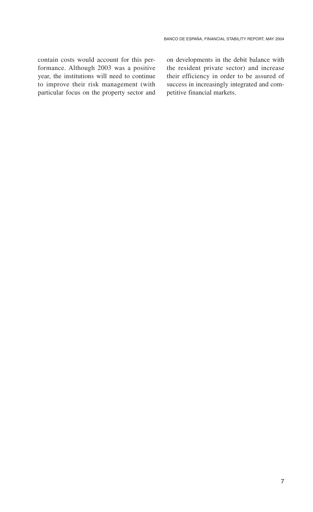contain costs would account for this performance. Although 2003 was a positive year, the institutions will need to continue to improve their risk management (with particular focus on the property sector and on developments in the debit balance with the resident private sector) and increase their efficiency in order to be assured of success in increasingly integrated and competitive financial markets.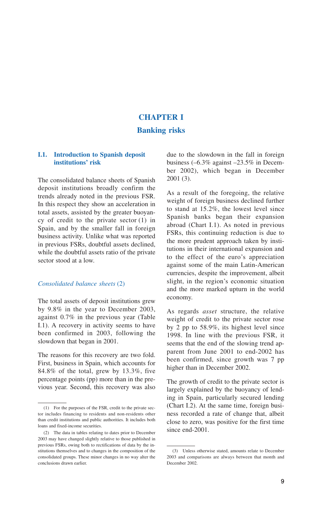# **CHAPTER I Banking risks**

## **I.1. Introduction to Spanish deposit institutions' risk**

The consolidated balance sheets of Spanish deposit institutions broadly confirm the trends already noted in the previous FSR. In this respect they show an acceleration in total assets, assisted by the greater buoyancy of credit to the private sector (1) in Spain, and by the smaller fall in foreign business activity. Unlike what was reported in previous FSRs, doubtful assets declined, while the doubtful assets ratio of the private sector stood at a low.

## *Consolidated balance sheets* (2)

The total assets of deposit institutions grew by 9.8% in the year to December 2003, against 0.7% in the previous year (Table I.1). A recovery in activity seems to have been confirmed in 2003, following the slowdown that began in 2001.

The reasons for this recovery are two fold. First, business in Spain, which accounts for 84.8% of the total, grew by 13.3%, five percentage points (pp) more than in the previous year. Second, this recovery was also

due to the slowdown in the fall in foreign business (–6.3% against –23.5% in December 2002), which began in December 2001 (3).

As a result of the foregoing, the relative weight of foreign business declined further to stand at 15.2%, the lowest level since Spanish banks began their expansion abroad (Chart I.1). As noted in previous FSRs, this continuing reduction is due to the more prudent approach taken by institutions in their international expansion and to the effect of the euro's appreciation against some of the main Latin-American currencies, despite the improvement, albeit slight, in the region's economic situation and the more marked upturn in the world economy.

As regards *asset* structure, the relative weight of credit to the private sector rose by 2 pp to 58.9%, its highest level since 1998. In line with the previous FSR, it seems that the end of the slowing trend apparent from June 2001 to end-2002 has been confirmed, since growth was 7 pp higher than in December 2002.

The growth of credit to the private sector is largely explained by the buoyancy of lending in Spain, particularly secured lending (Chart I.2). At the same time, foreign business recorded a rate of change that, albeit close to zero, was positive for the first time since end-2001.

<sup>(1)</sup> For the purposes of the FSR, credit to the private sector includes financing to residents and non-residents other than credit institutions and public authorities. It includes both loans and fixed-income securities.

<sup>(2)</sup> The data in tables relating to dates prior to December 2003 may have changed slightly relative to those published in previous FSRs, owing both to rectifications of data by the institutions themselves and to changes in the composition of the consolidated groups. These minor changes in no way alter the conclusions drawn earlier.

<sup>(3)</sup> Unless otherwise stated, amounts relate to December 2003 and comparisons are always between that month and December 2002.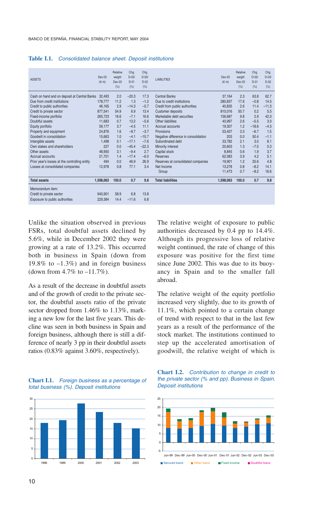| <b>ASSETS</b>                                 | $Dec-03$<br>$(\in$ m) | Relative<br>weight<br>Dec-03<br>(% ) | Chq.<br>$D-02/$<br>$D-01$<br>(% ) | Chq.<br>$D-0.3/$<br>$D-02$<br>(% ) | <b>LIABILITIES</b>                   | $Dec-03$<br>$(\in$ m) | Relative<br>weight<br>Dec-03<br>(% ) | Chq.<br>$D-02/$<br>$D-01$<br>(% ) | Chq.<br>$D - 0.3/$<br>$D-02$<br>(% ) |
|-----------------------------------------------|-----------------------|--------------------------------------|-----------------------------------|------------------------------------|--------------------------------------|-----------------------|--------------------------------------|-----------------------------------|--------------------------------------|
| Cash on hand and on deposit at Central Banks  | 32,493                | 2.0                                  | $-20.3$                           | 17.3                               | <b>Central Banks</b>                 | 37.164                | 2.3                                  | 63.8                              | 62.7                                 |
| Due from credit institutions                  | 178,777               | 11.2                                 | 1.3                               | $-1.2$                             | Due to credit institutions           | 280,837               | 17.6                                 | $-0.8$                            | 14.5                                 |
| Credit to public authorities                  | 46.165                | 2.9                                  | $-14.3$                           | $-5.7$                             | Credit from public authorities       | 40.835                | 2.6                                  | 11.4                              | $-11.3$                              |
| Credit to private sector                      | 877.541               | 54.9                                 | 6.9                               | 13.4                               | Customer deposits                    | 810.016               | 50.7                                 | 0.2                               | 5.5                                  |
| Fixed-income portfolio                        | 265,723               | 16.6                                 | $-7.1$                            | 16.6                               | Marketable debt securities           | 156.687               | 9.8                                  | 2.9                               | 42.0                                 |
| Doubtful assets                               | 11.683                | 0.7                                  | 13.2                              | $-5.6$                             | Other liabilities                    | 40.997                | 2.6                                  | $-5.5$                            | 3.0                                  |
| Equity portfolio                              | 59.177                | 3.7                                  | $-4.5$                            | 11.1                               | Accrual accounts                     | 19.307                | 1.2                                  | $-18.6$                           | $-4.5$                               |
| Property and equipment                        | 24.876                | 1.6                                  | $-9.7$                            | $-3.7$                             | Provisions                           | 53.407                | 3.3                                  | $-6.7$                            | 1.5                                  |
| Goodwill in consolidation                     | 15,663                | 1.0                                  | $-4.1$                            | $-15.7$                            | Negative difference in consolidation | 203                   | 0.0                                  | 50.4                              | $-1.1$                               |
| Intangible assets                             | 1.498                 | 0.1                                  | $-17.1$                           | $-7.6$                             | Subordinated debt                    | 33.782                | 2.1                                  | 3.0                               | 8.1                                  |
| Own stakes and shareholders                   | 227                   | 0.0                                  | $-45.4$                           | $-22.3$                            | Minority interest                    | 20.603                | 1.3                                  | $-7.0$                            | 0.3                                  |
| Other assets                                  | 48.950                | 3.1                                  | $-9.4$                            | 2.7                                | Capital stock                        | 8.845                 | 0.6                                  | 1.9                               | 3.7                                  |
| Accrual accounts                              | 21.701                | 1.4                                  | $-17.4$                           | $-6.0$                             | <b>Reserves</b>                      | 62.083                | 3.9                                  | 4.2                               | 5.1                                  |
| Prior year's losses at the controlling entity | 494                   | 0.0                                  | 46.9                              | 26.9                               | Reserves at consolidated companies   | 19.901                | 1.2                                  | 25.6                              | 4.8                                  |
| Losses at consolidated companies              | 12,978                | 0.8                                  | 77.1                              | 3.4                                | Net Income                           | 13.278                | 0.8                                  | $-8.2$                            | 14.1                                 |
|                                               |                       |                                      |                                   |                                    | Group                                | 11,473                | 0.7                                  | $-8.2$                            | 16.6                                 |
| <b>Total assets</b>                           | 1,598,063             | 100.0                                | 0.7                               | 9.8                                | <b>Total liabilities</b>             | 1,598,063             | 100.0                                | 0.7                               | 9.8                                  |
| Memorandum item:                              |                       |                                      |                                   |                                    |                                      |                       |                                      |                                   |                                      |
| Credit to private sector                      | 940.901               | 58.9                                 | 6.8                               | 13.8                               |                                      |                       |                                      |                                   |                                      |
| Exposure to public authorities                | 229.384               | 14.4                                 | $-11.6$                           | 6.8                                |                                      |                       |                                      |                                   |                                      |

**Table I.1.** *Consolidated balance sheet. Deposit institutions*

Unlike the situation observed in previous FSRs, total doubtful assets declined by 5.6%, while in December 2002 they were growing at a rate of 13.2%. This occurred both in business in Spain (down from 19.8% to  $-1.3\%$ ) and in foreign business (down from 4.7% to  $-11.7%$ ).

As a result of the decrease in doubtful assets and of the growth of credit to the private sector, the doubtful assets ratio of the private sector dropped from 1.46% to 1.13%, marking a new low for the last five years. This decline was seen in both business in Spain and foreign business, although there is still a difference of nearly 3 pp in their doubtful assets ratios (0.83% against 3.60%, respectively).





The relative weight of exposure to public authorities decreased by 0.4 pp to 14.4%. Although its progressive loss of relative weight continued, the rate of change of this exposure was positive for the first time since June 2002. This was due to its buoyancy in Spain and to the smaller fall abroad.

The relative weight of the equity portfolio increased very slightly, due to its growth of 11.1%, which pointed to a certain change of trend with respect to that in the last few years as a result of the performance of the stock market. The institutions continued to step up the accelerated amortisation of goodwill, the relative weight of which is



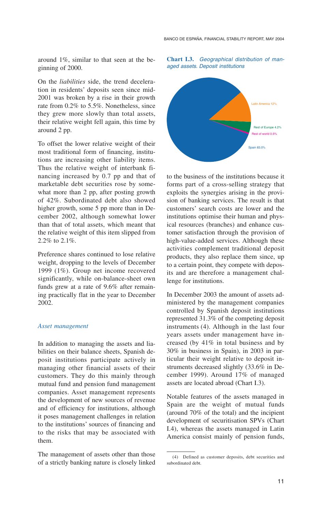around 1%, similar to that seen at the beginning of 2000.

On the *liabilities* side, the trend deceleration in residents' deposits seen since mid-2001 was broken by a rise in their growth rate from 0.2% to 5.5%. Nonetheless, since they grew more slowly than total assets, their relative weight fell again, this time by around 2 pp.

To offset the lower relative weight of their most traditional form of financing, institutions are increasing other liability items. Thus the relative weight of interbank financing increased by 0.7 pp and that of marketable debt securities rose by somewhat more than 2 pp, after posting growth of 42%. Subordinated debt also showed higher growth, some 5 pp more than in December 2002, although somewhat lower than that of total assets, which meant that the relative weight of this item slipped from 2.2% to 2.1%.

Preference shares continued to lose relative weight, dropping to the levels of December 1999 (1%). Group net income recovered significantly, while on-balance-sheet own funds grew at a rate of 9.6% after remaining practically flat in the year to December 2002.

#### *Asset management*

In addition to managing the assets and liabilities on their balance sheets, Spanish deposit institutions participate actively in managing other financial assets of their customers. They do this mainly through mutual fund and pension fund management companies. Asset management represents the development of new sources of revenue and of efficiency for institutions, although it poses management challenges in relation to the institutions' sources of financing and to the risks that may be associated with them.

The management of assets other than those of a strictly banking nature is closely linked



**Chart I.3.** *Geographical distribution of managed assets. Deposit institutions*

to the business of the institutions because it forms part of a cross-selling strategy that exploits the synergies arising in the provision of banking services. The result is that customers' search costs are lower and the institutions optimise their human and physical resources (branches) and enhance customer satisfaction through the provision of high-value-added services. Although these activities complement traditional deposit products, they also replace them since, up to a certain point, they compete with deposits and are therefore a management challenge for institutions.

In December 2003 the amount of assets administered by the management companies controlled by Spanish deposit institutions represented 31.3% of the competing deposit instruments (4). Although in the last four years assets under management have increased (by 41% in total business and by 30% in business in Spain), in 2003 in particular their weight relative to deposit instruments decreased slightly (33.6% in December 1999). Around 17% of managed assets are located abroad (Chart I.3).

Notable features of the assets managed in Spain are the weight of mutual funds (around 70% of the total) and the incipient development of securitisation SPVs (Chart I.4), whereas the assets managed in Latin America consist mainly of pension funds,

<sup>(4)</sup> Defined as customer deposits, debt securities and subordinated debt.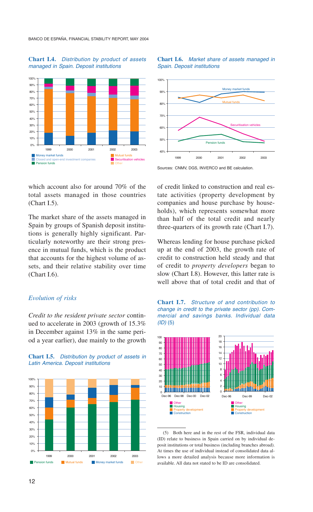#### **Chart I.4.** *Distribution by product of assets managed in Spain. Deposit institutions*



#### **Chart I.6.** *Market share of assets managed in Spain. Deposit institutions*



Sources: CNMV, DGS, INVERCO and BE calculation.

which account also for around 70% of the total assets managed in those countries (Chart I.5).

The market share of the assets managed in Spain by groups of Spanish deposit institutions is generally highly significant. Particularly noteworthy are their strong presence in mutual funds, which is the product that accounts for the highest volume of assets, and their relative stability over time (Chart I.6).

#### *Evolution of risks*

*Credit to the resident private sector* continued to accelerate in 2003 (growth of 15.3% in December against 13% in the same period a year earlier), due mainly to the growth





of credit linked to construction and real estate activities (property development by companies and house purchase by households), which represents somewhat more than half of the total credit and nearly three-quarters of its growth rate (Chart I.7).

Whereas lending for house purchase picked up at the end of 2003, the growth rate of credit to construction held steady and that of credit to *property developers* began to slow (Chart I.8). However, this latter rate is well above that of total credit and that of





(5) Both here and in the rest of the FSR, individual data (ID) relate to business in Spain carried on by individual deposit institutions or total business (including branches abroad). At times the use of individual instead of consolidated data allows a more detailed analysis because more information is available. All data not stated to be ID are consolidated.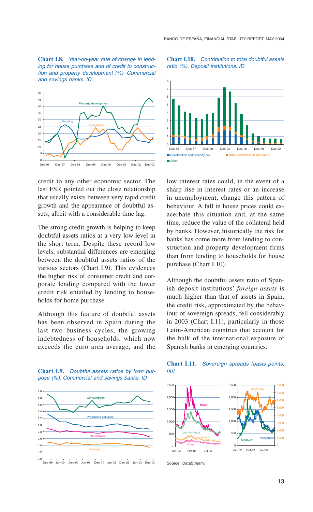**Chart I.10.** *Contribution to total doubtful assets* 

*ratio (%). Deposit institutions. ID*

7 8

**Chart I.8.** *Year-on-year rate of change in lending for house purchase and of credit to construction and property development (%). Commercial and savings banks. ID*



credit to any other economic sector. The last FSR pointed out the close relationship that usually exists between very rapid credit growth and the appearance of doubtful assets, albeit with a considerable time lag.

The strong credit growth is helping to keep doubtful assets ratios at a very low level in the short term. Despite these record low levels, substantial differences are emerging between the doubtful assets ratios of the various sectors (Chart I.9). This evidences the higher risk of consumer credit and corporate lending compared with the lower credit risk entailed by lending to households for home purchase.

Although this feature of doubtful assets has been observed in Spain during the last two business cycles, the growing indebtedness of households, which now exceeds the euro area average, and the



low interest rates could, in the event of a sharp rise in interest rates or an increase in unemployment, change this pattern of behaviour. A fall in house prices could exacerbate this situation and, at the same time, reduce the value of the collateral held by banks. However, historically the risk for banks has come more from lending to construction and property development firms than from lending to households for house purchase (Chart I.10).

Although the doubtful assets ratio of Spanish deposit institutions' *foreign assets* is much higher than that of assets in Spain, the credit risk, approximated by the behaviour of sovereign spreads, fell considerably in 2003 (Chart I.11), particularly in those Latin-American countries that account for the bulk of the international exposure of Spanish banks in emerging countries.



**Chart I.9.** *Doubtful assets ratios by loan purpose (%). Commercial and savings banks. ID*



#### **Chart I.11.** *Sovereign spreads (basis points, bp)*



Source: DataStream.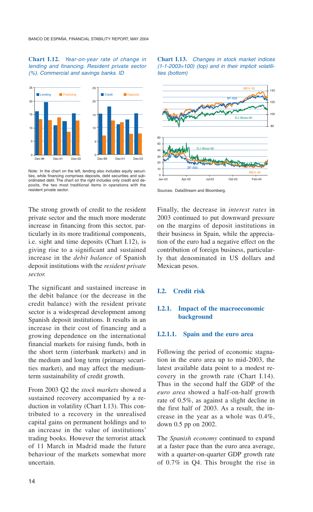#### **Chart I.12.** *Year-on-year rate of change in lending and financing. Resident private sector (%). Commercial and savings banks. ID*



Note: In the chart on the left, lending also includes equity securities, while financing comprises deposits, debt securities and subordinated debt. The chart on the right includes only credit and deposits, the two most traditional items in operations with the resident private sector.

The strong growth of credit to the resident private sector and the much more moderate increase in financing from this sector, particularly in its more traditional components, i.e. sight and time deposits (Chart I.12), is giving rise to a significant and sustained increase in the *debit balance* of Spanish deposit institutions with the *resident private sector.*

The significant and sustained increase in the debit balance (or the decrease in the credit balance) with the resident private sector is a widespread development among Spanish deposit institutions. It results in an increase in their cost of financing and a growing dependence on the international financial markets for raising funds, both in the short term (interbank markets) and in the medium and long term (primary securities market), and may affect the mediumterm sustainability of credit growth.

From 2003 Q2 the *stock markets* showed a sustained recovery accompanied by a reduction in volatility (Chart I.13). This contributed to a recovery in the unrealised capital gains on permanent holdings and to an increase in the value of institutions' trading books. However the terrorist attack of 11 March in Madrid made the future behaviour of the markets somewhat more uncertain.

**Chart I.13.** *Changes in stock market indices (1-1-2003=100) (top) and in their implicit volatilities (bottom)*



Sources: DataStream and Bloomberg.

Finally, the decrease in *interest rates* in 2003 continued to put downward pressure on the margins of deposit institutions in their business in Spain, while the appreciation of the euro had a negative effect on the contribution of foreign business, particularly that denominated in US dollars and Mexican pesos.

## **I.2. Credit risk**

## **I.2.1. Impact of the macroeconomic background**

#### **I.2.1.1. Spain and the euro area**

Following the period of economic stagnation in the euro area up to mid-2003, the latest available data point to a modest recovery in the growth rate (Chart I.14). Thus in the second half the GDP of the *euro area* showed a half-on-half growth rate of 0.5%, as against a slight decline in the first half of 2003. As a result, the increase in the year as a whole was 0.4%, down 0.5 pp on 2002.

The *Spanish economy* continued to expand at a faster pace than the euro area average, with a quarter-on-quarter GDP growth rate of 0.7% in Q4. This brought the rise in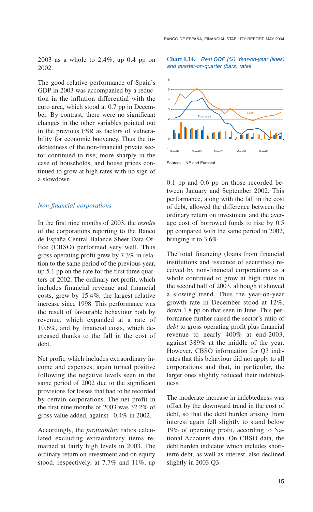2003 as a whole to 2.4%, up 0.4 pp on 2002.

The good relative performance of Spain's GDP in 2003 was accompanied by a reduction in the inflation differential with the euro area, which stood at 0.7 pp in December. By contrast, there were no significant changes in the other variables pointed out in the previous FSR as factors of vulnerability for economic buoyancy. Thus the indebtedness of the non-financial private sector continued to rise, more sharply in the case of households, and house prices continued to grow at high rates with no sign of a slowdown.

## *Non-financial corporations*

In the first nine months of 2003, the *result*s of the corporations reporting to the Banco de España Central Balance Sheet Data Office (CBSO) performed very well. Thus gross operating profit grew by 7.3% in relation to the same period of the previous year, up 5.1 pp on the rate for the first three quarters of 2002. The ordinary net profit, which includes financial revenue and financial costs, grew by 15.4%, the largest relative increase since 1998. This performance was the result of favourable behaviour both by revenue, which expanded at a rate of 10.6%, and by financial costs, which decreased thanks to the fall in the cost of debt.

Net profit, which includes extraordinary income and expenses, again turned positive following the negative levels seen in the same period of 2002 due to the significant provisions for losses that had to be recorded by certain corporations. The net profit in the first nine months of 2003 was 32.2% of gross value added, against –0.4% in 2002.

Accordingly, the *profitability* ratios calculated excluding extraordinary items remained at fairly high levels in 2003. The ordinary return on investment and on equity stood, respectively, at 7.7% and 11%, up **Chart I.14.** *Real GDP (%). Year-on-year (lines) and quarter-on-quarter (bars) rates*



Sources: INE and Eurostat.

0.1 pp and 0.6 pp on those recorded between January and September 2002. This performance, along with the fall in the cost of debt, allowed the difference between the ordinary return on investment and the average cost of borrowed funds to rise by 0.5 pp compared with the same period in 2002, bringing it to 3.6%.

The total financing (loans from financial institutions and issuance of securities) received by non-financial corporations as a whole continued to grow at high rates in the second half of 2003, although it showed a slowing trend. Thus the year-on-year growth rate in December stood at 12%, down 1.8 pp on that seen in June. This performance further raised the sector's ratio of *debt* to gross operating profit plus financial revenue to nearly 400% at end-2003, against 389% at the middle of the year. However, CBSO information for Q3 indicates that this behaviour did not apply to all corporations and that, in particular, the larger ones slightly reduced their indebtedness.

The moderate increase in indebtedness was offset by the downward trend in the cost of debt, so that the debt burden arising from interest again fell slightly to stand below 19% of operating profit, according to National Accounts data. On CBSO data, the debt burden indicator which includes shortterm debt, as well as interest, also declined slightly in 2003 Q3.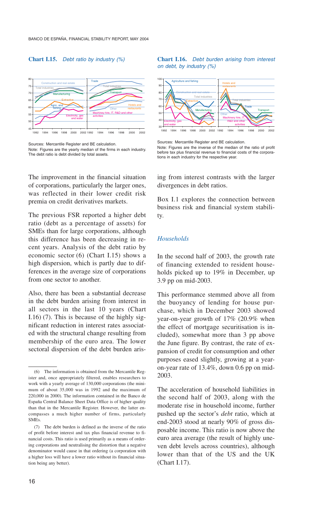#### **Chart I.15.** *Debt ratio by industry (%)*



Sources: Mercantile Register and BE calculation. Note: Figures are the yearly median of the firms in each industry. The debt ratio is debt divided by total assets.

The improvement in the financial situation of corporations, particularly the larger ones, was reflected in their lower credit risk premia on credit derivatives markets.

The previous FSR reported a higher debt ratio (debt as a percentage of assets) for SMEs than for large corporations, although this difference has been decreasing in recent years. Analysis of the debt ratio by economic sector (6) (Chart I.15) shows a high dispersion, which is partly due to differences in the average size of corporations from one sector to another.

Also, there has been a substantial decrease in the debt burden arising from interest in all sectors in the last 10 years (Chart I.16) (7). This is because of the highly significant reduction in interest rates associated with the structural change resulting from membership of the euro area. The lower sectoral dispersion of the debt burden aris-





Sources: Mercantile Register and BE calculation.

Note: Figures are the inverse of the median of the ratio of profit before tax plus financial revenue to financial costs of the corporations in each industry for the respective year.

ing from interest contrasts with the larger divergences in debt ratios.

Box I.1 explores the connection between business risk and financial system stability.

## *Households*

In the second half of 2003, the growth rate of financing extended to resident households picked up to 19% in December, up 3.9 pp on mid-2003.

This performance stemmed above all from the buoyancy of lending for house purchase, which in December 2003 showed year-on-year growth of 17% (20.9% when the effect of mortgage securitisation is included), somewhat more than 3 pp above the June figure. By contrast, the rate of expansion of credit for consumption and other purposes eased slightly, growing at a yearon-year rate of 13.4%, down 0.6 pp on mid-2003.

The acceleration of household liabilities in the second half of 2003, along with the moderate rise in household income, further pushed up the sector's *debt* ratio, which at end-2003 stood at nearly 90% of gross disposable income. This ratio is now above the euro area average (the result of highly uneven debt levels across countries), although lower than that of the US and the UK (Chart I.17).

<sup>(6)</sup> The information is obtained from the Mercantile Register and, once appropriately filtered, enables researchers to work with a yearly average of 130,000 corporations (the minimum of about 35,000 was in 1992 and the maximum of 220,000 in 2000). The information contained in the Banco de España Central Balance Sheet Data Office is of higher quality than that in the Mercantile Register. However, the latter encompasses a much higher number of firms, particularly SMEs.

<sup>(7)</sup> The debt burden is defined as the inverse of the ratio of profit before interest and tax plus financial revenue to financial costs. This ratio is used primarily as a means of ordering corporations and neutralising the distortion that a negative denominator would cause in that ordering (a corporation with a higher loss will have a lower ratio without its financial situation being any better).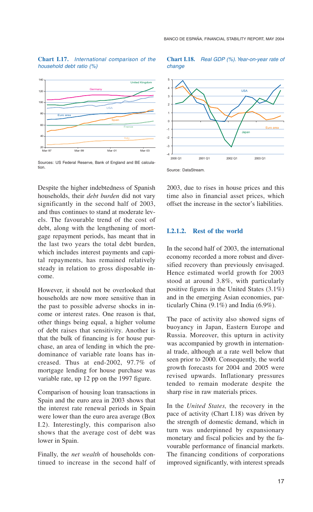#### **Chart I.17.** *International comparison of the household debt ratio (%)*



Sources: US Federal Reserve, Bank of England and BE calculation.

Despite the higher indebtedness of Spanish households, their *debt burden* did not vary significantly in the second half of 2003, and thus continues to stand at moderate levels. The favourable trend of the cost of debt, along with the lengthening of mortgage repayment periods, has meant that in the last two years the total debt burden, which includes interest payments and capital repayments, has remained relatively steady in relation to gross disposable income.

However, it should not be overlooked that households are now more sensitive than in the past to possible adverse shocks in income or interest rates. One reason is that, other things being equal, a higher volume of debt raises that sensitivity. Another is that the bulk of financing is for house purchase, an area of lending in which the predominance of variable rate loans has increased. Thus at end-2002, 97.7% of mortgage lending for house purchase was variable rate, up 12 pp on the 1997 figure.

Comparison of housing loan transactions in Spain and the euro area in 2003 shows that the interest rate renewal periods in Spain were lower than the euro area average (Box I.2). Interestingly, this comparison also shows that the average cost of debt was lower in Spain.

Finally, the *net wealth* of households continued to increase in the second half of







2003, due to rises in house prices and this time also in financial asset prices, which offset the increase in the sector's liabilities.

## **I.2.1.2. Rest of the world**

In the second half of 2003, the international economy recorded a more robust and diversified recovery than previously envisaged. Hence estimated world growth for 2003 stood at around 3.8%, with particularly positive figures in the United States (3.1%) and in the emerging Asian economies, particularly China (9.1%) and India (6.9%).

The pace of activity also showed signs of buoyancy in Japan, Eastern Europe and Russia. Moreover, this upturn in activity was accompanied by growth in international trade, although at a rate well below that seen prior to 2000. Consequently, the world growth forecasts for 2004 and 2005 were revised upwards. Inflationary pressures tended to remain moderate despite the sharp rise in raw materials prices.

In the *United States,* the recovery in the pace of activity (Chart I.18) was driven by the strength of domestic demand, which in turn was underpinned by expansionary monetary and fiscal policies and by the favourable performance of financial markets. The financing conditions of corporations improved significantly, with interest spreads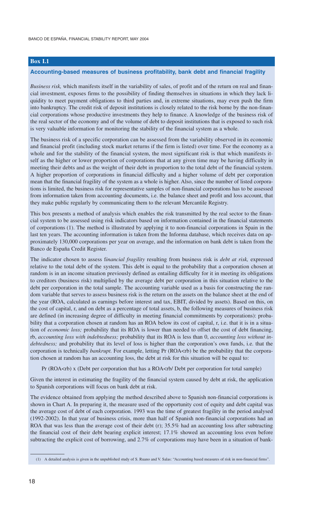## **Box I.1**

#### **Accounting-based measures of business profitability, bank debt and financial fragility**

*Business risk,* which manifests itself in the variability of sales, of profit and of the return on real and financial investment, exposes firms to the possibility of finding themselves in situations in which they lack liquidity to meet payment obligations to third parties and, in extreme situations, may even push the firm into bankruptcy. The credit risk of deposit institutions is closely related to the risk borne by the non-financial corporations whose productive investments they help to finance. A knowledge of the business risk of the real sector of the economy and of the volume of debt to deposit institutions that is exposed to such risk is very valuable information for monitoring the stability of the financial system as a whole.

The business risk of a specific corporation can be assessed from the variability observed in its economic and financial profit (including stock market returns if the firm is listed) over time. For the economy as a whole and for the stability of the financial system, the most significant risk is that which manifests itself as the higher or lower proportion of corporations that at any given time may be having difficulty in meeting their debts and as the weight of their debt in proportion to the total debt of the financial system. A higher proportion of corporations in financial difficulty and a higher volume of debt per corporation mean that the financial fragility of the system as a whole is higher. Also, since the number of listed corporations is limited, the business risk for representative samples of non-financial corporations has to be assessed from information taken from accounting documents, i.e. the balance sheet and profit and loss account, that they make public regularly by communicating them to the relevant Mercantile Registry.

This box presents a method of analysis which enables the risk transmitted by the real sector to the financial system to be assessed using risk indicators based on information contained in the financial statements of corporations (1). The method is illustrated by applying it to non-financial corporations in Spain in the last ten years. The accounting information is taken from the Informa database, which receives data on approximately 130,000 corporations per year on average, and the information on bank debt is taken from the Banco de España Credit Register.

The indicator chosen to assess f*inancial fragility* resulting from business risk is *debt at risk,* expressed relative to the total debt of the system. This debt is equal to the probability that a corporation chosen at random is in an income situation previously defined as entailing difficulty for it in meeting its obligations to creditors (business risk) multiplied by the average debt per corporation in this situation relative to the debt per corporation in the total sample. The accounting variable used as a basis for constructing the random variable that serves to assess business risk is the return on the assets on the balance sheet at the end of the year (ROA, calculated as earnings before interest and tax, EBIT, divided by assets). Based on this, on the cost of capital, r, and on debt as a percentage of total assets, b, the following measures of business risk are defined (in increasing degree of difficulty in meeting financial commitments by corporations): probability that a corporation chosen at random has an ROA below its cost of capital, r, i.e. that it is in a situation of *economic loss;* probability that its ROA is lower than needed to offset the cost of debt financing, rb, *accounting loss with indebtedness;* probability that its ROA is less than 0, *accounting loss without indebtedness;* and probability that its level of loss is higher than the corporation's own funds, i.e. that the corporation is technically *bankrupt*. For example, letting Pr (ROA<rb) be the probability that the corporation chosen at random has an accounting loss, the debt at risk for this situation will be equal to:

Pr (ROA<rb) x (Debt per corporation that has a ROA<rb/>check per corporation for total sample)

Given the interest in estimating the fragility of the financial system caused by debt at risk, the application to Spanish corporations will focus on bank debt at risk.

The evidence obtained from applying the method described above to Spanish non-financial corporations is shown in Chart A. In preparing it, the measure used of the opportunity cost of equity and debt capital was the average cost of debt of each corporation. 1993 was the time of greatest fragility in the period analysed (1992-2002). In that year of business crisis, more than half of Spanish non-financial corporations had an ROA that was less than the average cost of their debt (r); 35.5% had an accounting loss after subtracting the financial cost of their debt bearing explicit interest; 17.1% showed an accounting loss even before subtracting the explicit cost of borrowing, and 2.7% of corporations may have been in a situation of bank-

<sup>(1)</sup> A detailed analysis is given in the unpublished study of S. Ruano and V. Salas: "Accounting based measures of risk in non-financial firms".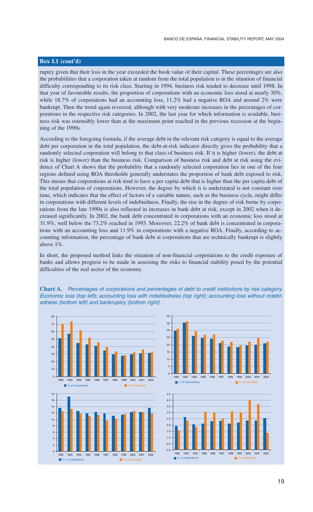## **Box I.1 (cont'd)**

ruptcy given that their loss in the year exceeded the book value of their capital. These percentages are also the probabilities that a corporation taken at random from the total population is in the situation of financial difficulty corresponding to its risk class. Starting in 1994, business risk tended to decrease until 1998. In that year of favourable results, the proportion of corporations with an economic loss stood at nearly 30%, while 18.7% of corporations had an accounting loss,  $11.2\%$  had a negative ROA and around 2% were bankrupt. Then the trend again reversed, although with very moderate increases in the percentages of corporations in the respective risk categories. In 2002, the last year for which information is available, business risk was ostensibly lower than at the maximum point reached in the previous recession at the beginning of the 1990s.

According to the foregoing formula, if the average debt in the relevant risk category is equal to the average debt per corporation in the total population, the debt-at-risk indicator directly gives the probability that a randomly selected corporation will belong to that class of business risk. If it is higher (lower), the debt at risk is higher (lower) than the business risk. Comparison of business risk and debt at risk using the evidence of Chart A shows that the probability that a randomly selected corporation lies in one of the four regions defined using ROA thresholds generally understates the proportion of bank debt exposed to risk. This means that corporations at risk tend to have a per capita debt that is higher than the per capita debt of the total population of corporations. However, the degree by which it is understated is not constant over time, which indicates that the effect of factors of a variable nature, such as the business cycle, might differ in corporations with different levels of indebtedness. Finally, the rise in the degree of risk borne by corporations from the late 1990s is also reflected in increases in bank debt at risk, except in 2002 when it decreased significantly. In 2002, the bank debt concentrated in corporations with an economic loss stood at 31.9%, well below the 73.2% reached in 1993. Moreover, 22.2% of bank debt is concentrated in corporations with an accounting loss and 11.9% in corporations with a negative ROA. Finally, according to accounting information, the percentage of bank debt at corporations that are technically bankrupt is slightly above 1%.

In short, the proposed method links the situation of non-financial corporations to the credit exposure of banks and allows progress to be made in assessing the risks to financial stability posed by the potential difficulties of the real sector of the economy.

**Chart A.** *Percentages of corporations and percentages of debt to credit institutions by risk category. Economic loss (top left); accounting loss with indebtedness (top right); accounting loss without indebtedness (bottom left) and bankruptcy (bottom right)*

> 0.0 0.5 1.0 1.5 2.0 2.5





1992 1993 1994 1995 1996 1997 1998 1999 2000 2001 2002 % of corporations  $\blacksquare$  % of bank debt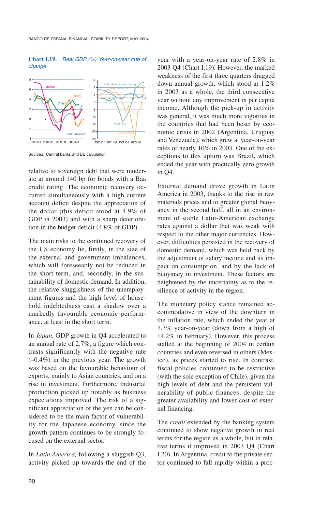#### **Chart I.19.** *Real GDP (%). Year-on-year rate of change*



Sources: Central banks and BE calculation.

relative to sovereign debt that were moderate at around 140 bp for bonds with a Baa credit rating. The economic recovery occurred simultaneously with a high current account deficit despite the appreciation of the dollar (this deficit stood at 4.9% of GDP in 2003) and with a sharp deterioration in the budget deficit (4.8% of GDP).

The main risks to the continued recovery of the US economy lie, firstly, in the size of the external and government imbalances, which will foreseeably not be reduced in the short term, and, secondly, in the sustainability of domestic demand. In addition, the relative sluggishness of the unemployment figures and the high level of household indebtedness cast a shadow over a markedly favourable economic performance, at least in the short term.

In *Japan,* GDP growth in Q4 accelerated to an annual rate of 2.7%, a figure which contrasts significantly with the negative rate (–0.4%) in the previous year. The growth was based on the favourable behaviour of exports, mainly to Asian countries, and on a rise in investment. Furthermore, industrial production picked up notably as business expectations improved. The risk of a significant appreciation of the yen can be considered to be the main factor of vulnerability for the Japanese economy, since the growth pattern continues to be strongly focused on the external sector.

In *Latin America,* following a sluggish Q3, activity picked up towards the end of the year with a year-on-year rate of 2.8% in 2003 Q4 (Chart I.19). However, the marked weakness of the first three quarters dragged down annual growth, which stood at 1.2% in 2003 as a whole, the third consecutive year without any improvement in per capita income. Although the pick-up in activity was general, it was much more vigorous in the countries that had been beset by economic crisis in 2002 (Argentina, Uruguay and Venezuela), which grew at year-on-year rates of nearly 10% in 2003. One of the exceptions to this upturn was Brazil, which ended the year with practically zero growth in Q4.

External demand drove growth in Latin America in 2003, thanks to the rise in raw materials prices and to greater global buoyancy in the second half, all in an environment of stable Latin-American exchange rates against a dollar that was weak with respect to the other major currencies. However, difficulties persisted in the recovery of domestic demand, which was held back by the adjustment of salary income and its impact on consumption, and by the lack of buoyancy in investment. These factors are heightened by the uncertainty as to the resilience of activity in the region.

The monetary policy stance remained accommodative in view of the downturn in the inflation rate, which ended the year at 7.3% year-on-year (down from a high of 14.2% in February). However, this process stalled at the beginning of 2004 in certain countries and even reversed in others (Mexico), as prices started to rise. In contrast, fiscal policies continued to be restrictive (with the sole exception of Chile), given the high levels of debt and the persistent vulnerability of public finances, despite the greater availability and lower cost of external financing.

The *credit* extended by the banking system continued to show negative growth in real terms for the region as a whole, but in relative terms it improved in 2003 Q4 (Chart I.20). In Argentina, credit to the private sector continued to fall rapidly within a proc-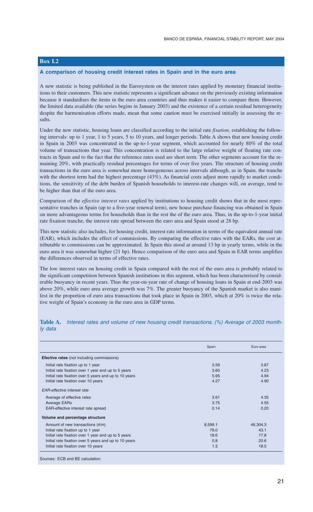## **Box I.2**

#### **A comparison of housing credit interest rates in Spain and in the euro area**

A new statistic is being published in the Eurosystem on the interest rates applied by monetary financial institutions to their customers. This new statistic represents a significant advance on the previously existing information because it standardises the items in the euro area countries and thus makes it easier to compare them. However, the limited data available (the series begins in January 2003) and the existence of a certain residual heterogeneity despite the harmonisation efforts made, mean that some caution must be exercised initially in assessing the results.

Under the new statistic, housing loans are classified according to the initial rate *fixation,* establishing the following intervals: up to 1 year, 1 to 5 years, 5 to 10 years, and longer periods. Table A shows that new housing credit in Spain in 2003 was concentrated in the up-to-1-year segment, which accounted for nearly 80% of the total volume of transactions that year. This concentration is related to the large relative weight of floating rate contracts in Spain and to the fact that the reference rates used are short term. The other segments account for the remaining 20%, with practically residual percentages for terms of over five years. The structure of housing credit transactions in the euro area is somewhat more homogeneous across intervals although, as in Spain, the tranche with the shortest term had the highest percentage (43%). As financial costs adjust more rapidly to market conditions, the sensitivity of the debt burden of Spanish households to interest-rate changes will, on average, tend to be higher than that of the euro area.

Comparison of the *effective interest rates* applied by institutions to housing credit shows that in the most representative tranches in Spain (up to a five-year renewal term), new house purchase financing was obtained in Spain on more advantageous terms for households than in the rest the of the euro area. Thus, in the up-to-1-year initial rate fixation tranche, the interest rate spread between the euro area and Spain stood at 28 bp.

This new statistic also includes, for housing credit, interest rate information in terms of the equivalent annual rate (EAR), which includes the effect of commissions. By comparing the effective rates with the EARs, the cost attributable to commissions can be approximated. In Spain this stood at around 13 bp in yearly terms, while in the euro area it was somewhat higher (21 bp). Hence comparison of the euro area and Spain in EAR terms amplifies the differences observed in terms of effective rates.

The low interest rates on housing credit in Spain compared with the rest of the euro area is probably related to the significant competition between Spanish institutions in this segment, which has been characterised by considerable buoyancy in recent years. Thus the year-on-year rate of change of housing loans in Spain at end-2003 was above 20%, while euro area average growth was 7%. The greater buoyancy of the Spanish market is also manifest in the proportion of euro area transactions that took place in Spain in 2003, which at 20% is twice the relative weight of Spain's economy in the euro area in GDP terms.

|                                                       | Spain   | Euro area |
|-------------------------------------------------------|---------|-----------|
| <b>Efective rates</b> (not including commissions)     |         |           |
| Initial rate fixation up to 1 year                    | 3.59    | 3.87      |
| Initial rate fixation over 1 year and up to 5 years   | 3.60    | 4.23      |
| Initial rate fixation over 5 years and up to 10 years | 5.95    | 4.94      |
| Initial rate fixation over 10 years                   | 4.27    | 4.90      |
| <b>EAR-effective interest rate</b>                    |         |           |
| Average of effective rates                            | 3.61    | 4.35      |
| Average EARs                                          | 3.75    | 4.55      |
| EAR-effective interest rate spread                    | 0.14    | 0.20      |
| Volume and percentage structure                       |         |           |
| Amount of new transactions $(\epsilon m)$             | 8,599.1 | 46,304.3  |
| Initial rate fixation up to 1 year                    | 79.0    | 43.1      |
| Initial rate fixation over 1 year and up to 5 years   | 18.6    | 17.8      |
| Initial rate fixation over 5 years and up to 10 years | 0.8     | 20.6      |
| Initial rate fixation over 10 years                   | 1.5     | 18.5      |

**Table A.** *Interest rates and volume of new housing credit transactions. (%) Average of 2003 monthly data*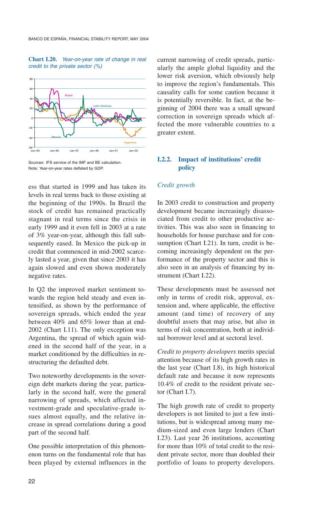#### **Chart I.20.** *Year-on-year rate of change in real credit to the private sector (%)*



Sources: IFS service of the IMF and BE calculation. Note: Year-on-year rates deflated by GDP.

ess that started in 1999 and has taken its levels in real terms back to those existing at the beginning of the 1990s. In Brazil the stock of credit has remained practically stagnant in real terms since the crisis in early 1999 and it even fell in 2003 at a rate of 3% year-on-year, although this fall subsequently eased. In Mexico the pick-up in credit that commenced in mid-2002 scarcely lasted a year, given that since 2003 it has again slowed and even shown moderately negative rates.

In Q2 the improved market sentiment towards the region held steady and even intensified, as shown by the performance of sovereign spreads, which ended the year between 40% and 65% lower than at end-2002 (Chart I.11). The only exception was Argentina, the spread of which again widened in the second half of the year, in a market conditioned by the difficulties in restructuring the defaulted debt.

Two noteworthy developments in the sovereign debt markets during the year, particularly in the second half, were the general narrowing of spreads, which affected investment-grade and speculative-grade issues almost equally, and the relative increase in spread correlations during a good part of the second half.

One possible interpretation of this phenomenon turns on the fundamental role that has been played by external influences in the current narrowing of credit spreads, particularly the ample global liquidity and the lower risk aversion, which obviously help to improve the region's fundamentals. This causality calls for some caution because it is potentially reversible. In fact, at the beginning of 2004 there was a small upward correction in sovereign spreads which affected the more vulnerable countries to a greater extent.

## **I.2.2. Impact of institutions' credit policy**

## *Credit growth*

In 2003 credit to construction and property development became increasingly disassociated from credit to other productive activities. This was also seen in financing to households for house purchase and for consumption (Chart I.21). In turn, credit is becoming increasingly dependent on the performance of the property sector and this is also seen in an analysis of financing by instrument (Chart I.22).

These developments must be assessed not only in terms of credit risk, approval, extension and, where applicable, the effective amount (and time) of recovery of any doubtful assets that may arise, but also in terms of risk concentration, both at individual borrower level and at sectoral level.

*Credit to property developers* merits special attention because of its high growth rates in the last year (Chart I.8), its high historical default rate and because it now represents 10.4% of credit to the resident private sector (Chart I.7).

The high growth rate of credit to property developers is not limited to just a few institutions, but is widespread among many medium-sized and even large lenders (Chart I.23). Last year 26 institutions, accounting for more than 10% of total credit to the resident private sector, more than doubled their portfolio of loans to property developers.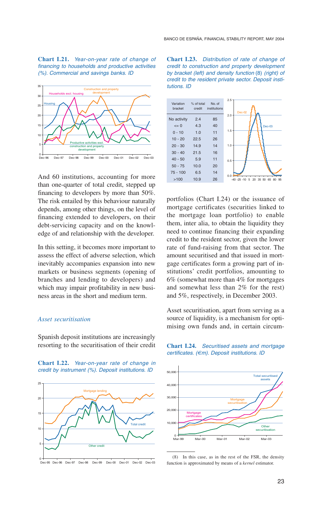**Chart I.21.** *Year-on-year rate of change of financing to households and productive activities (%). Commercial and savings banks. ID*



And 60 institutions, accounting for more than one-quarter of total credit, stepped up financing to developers by more than 50%. The risk entailed by this behaviour naturally depends, among other things, on the level of financing extended to developers, on their debt-servicing capacity and on the knowledge of and relationship with the developer.

In this setting, it becomes more important to assess the effect of adverse selection, which inevitably accompanies expansion into new markets or business segments (opening of branches and lending to developers) and which may impair profitability in new business areas in the short and medium term.

## *Asset securitisation*

Spanish deposit institutions are increasingly resorting to the securitisation of their credit

**Chart I.22.** *Year-on-year rate of change in credit by instrument (%). Deposit institutions. ID*



**Chart I.23.** *Distribution of rate of change of credit to construction and property development by bracket (left) and density function* (8) *(right) of credit to the resident private sector. Deposit institutions. ID*



portfolios (Chart I.24) or the issuance of mortgage certificates (securities linked to the mortgage loan portfolio) to enable them, inter alia, to obtain the liquidity they need to continue financing their expanding credit to the resident sector, given the lower rate of fund-raising from that sector. The amount securitised and that issued in mortgage certificates form a growing part of institutions' credit portfolios, amounting to 6% (somewhat more than 4% for mortgages and somewhat less than 2% for the rest) and 5%, respectively, in December 2003.

Asset securitisation, apart from serving as a source of liquidity, is a mechanism for optimising own funds and, in certain circum-

**Chart I.24.** *Securitised assets and mortgage certificates. (€m). Deposit institutions. ID*



(8) In this case, as in the rest of the FSR, the density function is approximated by means of a *kernel* estimator.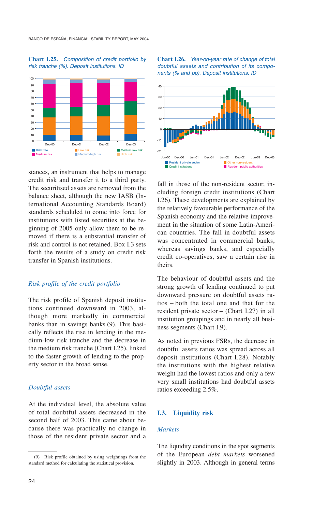**Chart I.25.** *Composition of credit portfolio by risk tranche (%). Deposit institutions. ID*



stances, an instrument that helps to manage credit risk and transfer it to a third party. The securitised assets are removed from the balance sheet, although the new IASB (International Accounting Standards Board) standards scheduled to come into force for institutions with listed securities at the beginning of 2005 only allow them to be removed if there is a substantial transfer of risk and control is not retained. Box I.3 sets forth the results of a study on credit risk transfer in Spanish institutions.

## *Risk profile of the credit portfolio*

The risk profile of Spanish deposit institutions continued downward in 2003, although more markedly in commercial banks than in savings banks (9). This basically reflects the rise in lending in the medium-low risk tranche and the decrease in the medium risk tranche (Chart I.25), linked to the faster growth of lending to the property sector in the broad sense.

## *Doubtful assets*

At the individual level, the absolute value of total doubtful assets decreased in the second half of 2003. This came about because there was practically no change in those of the resident private sector and a





fall in those of the non-resident sector, including foreign credit institutions (Chart I.26). These developments are explained by the relatively favourable performance of the Spanish economy and the relative improvement in the situation of some Latin-American countries. The fall in doubtful assets was concentrated in commercial banks, whereas savings banks, and especially credit co-operatives, saw a certain rise in theirs.

The behaviour of doubtful assets and the strong growth of lending continued to put downward pressure on doubtful assets ratios – both the total one and that for the resident private sector – (Chart I.27) in all institution groupings and in nearly all business segments (Chart I.9).

As noted in previous FSRs, the decrease in doubtful assets ratios was spread across all deposit institutions (Chart I.28). Notably the institutions with the highest relative weight had the lowest ratios and only a few very small institutions had doubtful assets ratios exceeding 2.5%.

## **I.3. Liquidity risk**

## *Markets*

The liquidity conditions in the spot segments of the European *debt markets* worsened slightly in 2003. Although in general terms

<sup>(9)</sup> Risk profile obtained by using weightings from the standard method for calculating the statistical provision.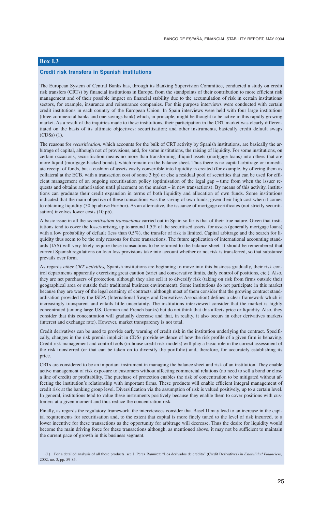## **Box I.3**

#### **Credit risk transfers in Spanish institutions**

The European System of Central Banks has, through its Banking Supervision Committee, conducted a study on credit risk transfers (CRTs) by financial institutions in Europe, from the standpoints of their contribution to more efficient risk management and of their possible impact on financial stability due to the accumulation of risk in certain institutions/ sectors, for example, insurance and reinsurance companies. For this purpose interviews were conducted with certain credit institutions in each country of the European Union. In Spain interviews were held with four large institutions (three commercial banks and one savings bank) which, in principle, might be thought to be active in this rapidly growing market. As a result of the inquiries made to these institutions, their participation in the CRT market was clearly differentiated on the basis of its ultimate objectives: securitisation; and other instruments, basically credit default swaps (CDSs) (1).

The reasons for *securitisation,* which accounts for the bulk of CRT activity by Spanish institutions, are basically the arbitrage of capital, although not of provisions, and, for some institutions, the raising of liquidity. For some institutions, on certain occasions, securitisation means no more than transforming illiquid assets (mortgage loans) into others that are more liquid (mortgage-backed bonds), which remain on the balance sheet. Thus there is no capital arbitrage or immediate receipt of funds, but a cushion of assets easily convertible into liquidity is created (for example, by offering them as collateral at the ECB, with a transaction cost of some 3 bp) or else a residual pool of securities that can be used for efficient management of an ongoing securitisation policy (optimisation of the legal gap – time from when the issuer requests and obtains authorisation until placement on the market – in new transactions). By means of this activity, institutions can graduate their credit expansion in terms of both liquidity and allocation of own funds. Some institutions indicated that the main objective of these transactions was the saving of own funds, given their high cost when it comes to obtaining liquidity (30 bp above Euribor). As an alternative, the issuance of mortgage certificates (not strictly securitisation) involves lower costs (10 pb).

A basic issue in all the *securitisation transactions* carried out in Spain so far is that of their true nature. Given that institutions tend to cover the losses arising, up to around 1.5% of the securitised assets, for assets (generally mortgage loans) with a low probability of default (less than 0.5%), the transfer of risk is limited. Capital arbitrage and the search for liquidity thus seem to be the only reasons for these transactions. The future application of international accounting standards (IAS) will very likely require these transactions to be returned to the balance sheet. It should be remembered that current Spanish regulations on loan loss provisions take into account whether or not risk is transferred, so that substance prevails over form.

As regards *other CRT activities,* Spanish institutions are beginning to move into this business gradually, their risk control departments apparently exercising great caution (strict and conservative limits, daily control of positions, etc.). Also, they are net purchasers of protection, although they also sell it to diversify risk (taking on risk from firms outside their geographical area or outside their traditional business environment). Some institutions do not participate in this market because they are wary of the legal certainty of contracts, although most of them consider that the growing contract standardisation provided by the ISDA (International Swaps and Derivatives Association) defines a clear framework which is increasingly transparent and entails little uncertainty. The institutions interviewed consider that the market is highly concentrated (among large US, German and French banks) but do not think that this affects price or liquidity. Also, they consider that this concentration will gradually decrease and that, in reality, it also occurs in other derivatives markets (interest and exchange rate). However, market transparency is not total.

Credit derivatives can be used to provide early warning of credit risk in the institution underlying the contract. Specifically, changes in the risk premia implicit in CDSs provide evidence of how the risk profile of a given firm is behaving. Credit risk management and control tools (in-house credit risk models) will play a basic role in the correct assessment of the risk transferred (or that can be taken on to diversify the portfolio) and, therefore, for accurately establishing its price.

CRTs are considered to be an important instrument in managing the balance sheet and risk of an institution. They enable active management of risk exposure to customers without affecting commercial relations (no need to sell a bond or close a line of credit) or profitability. The purchase of protection enables the risk of concentration to be mitigated without affecting the institution's relationship with important firms. These products will enable efficient integral management of credit risk at the banking group level. Diversification via the assumption of risk is valued positively, up to a certain level. In general, institutions tend to value these instruments positively because they enable them to cover positions with customers at a given moment and thus reduce the concentration risk.

Finally, as regards the regulatory framework, the interviewees consider that Basel II may lead to an increase in the capital requirements for securitisation and, to the extent that capital is more finely tuned to the level of risk incurred, to a lower incentive for these transactions as the opportunity for arbitrage will decrease. Thus the desire for liquidity would become the main driving force for these transactions although, as mentioned above, it may not be sufficient to maintain the current pace of growth in this business segment.

<sup>(1)</sup> For a detailed analysis of all these products, see J. Pérez Ramírez: "Los derivados de crédito" (Credit Derivatives) in *Estabilidad Financiera,* 2002, no. 3, pp. 59-85.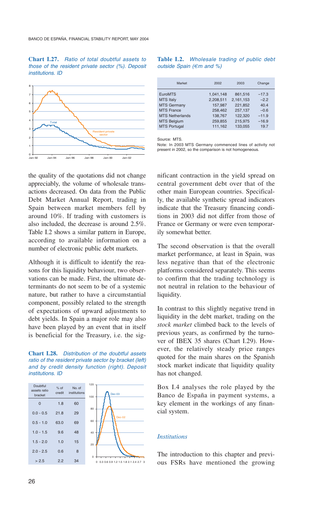#### **Chart I.27.** *Ratio of total doubtful assets to those of the resident private sector (%). Deposit institutions. ID*



#### **Table I.2.** *Wholesale trading of public debt outside Spain (€m and %)*

| <b>EuroMTS</b><br>1.041.148<br>861.516<br>$-17.3$<br>2,208,511<br><b>MTS Italy</b><br>2,161,153<br>$-2.2$<br><b>MTS Germany</b><br>221.852<br>157.987<br>40.4<br><b>MTS France</b><br>257.137<br>258,462<br>$-0.6$<br><b>MTS Netherlands</b><br>122.320<br>138,767<br>$-11.9$<br><b>MTS Belgium</b><br>215.975<br>259.855<br>$-16.9$ | Market              | 2002    | 2003    | Change |
|--------------------------------------------------------------------------------------------------------------------------------------------------------------------------------------------------------------------------------------------------------------------------------------------------------------------------------------|---------------------|---------|---------|--------|
|                                                                                                                                                                                                                                                                                                                                      | <b>MTS Portugal</b> | 111,162 | 133.055 | 19.7   |

Source: MTS.

Note: In 2003 MTS Germany commenced lines of activity not present in 2002, so the comparison is not homogeneous.

the quality of the quotations did not change appreciably, the volume of wholesale transactions decreased. On data from the Public Debt Market Annual Report, trading in Spain between market members fell by around 10%. If trading with customers is also included, the decrease is around 2.5%. Table I.2 shows a similar pattern in Europe, according to available information on a number of electronic public debt markets.

Although it is difficult to identify the reasons for this liquidity behaviour, two observations can be made. First, the ultimate determinants do not seem to be of a systemic nature, but rather to have a circumstantial component, possibly related to the strength of expectations of upward adjustments to debt yields. In Spain a major role may also have been played by an event that in itself is beneficial for the Treasury, i.e. the sig-

**Chart I.28.** *Distribution of the doubtful assets ratio of the resident private sector by bracket (left) and by credit density function (right). Deposit institutions. ID*



nificant contraction in the yield spread on central government debt over that of the other main European countries. Specifically, the available synthetic spread indicators indicate that the Treasury financing conditions in 2003 did not differ from those of France or Germany or were even temporarily somewhat better.

The second observation is that the overall market performance, at least in Spain, was less negative than that of the electronic platforms considered separately. This seems to confirm that the trading technology is not neutral in relation to the behaviour of liquidity.

In contrast to this slightly negative trend in liquidity in the debt market, trading on the *stock market* climbed back to the levels of previous years, as confirmed by the turnover of IBEX 35 shares (Chart I.29). However, the relatively steady price ranges quoted for the main shares on the Spanish stock market indicate that liquidity quality has not changed.

Box I.4 analyses the role played by the Banco de España in payment systems, a key element in the workings of any financial system.

#### *Institutions*

The introduction to this chapter and previous FSRs have mentioned the growing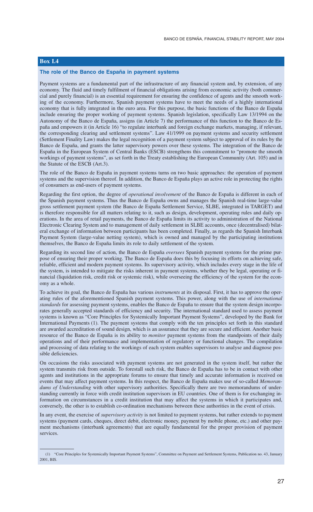## **Box I.4**

#### **The role of the Banco de España in payment systems**

Payment systems are a fundamental part of the infrastructure of any financial system and, by extension, of any economy. The fluid and timely fulfilment of financial obligations arising from economic activity (both commercial and purely financial) is an essential requirement for ensuring the confidence of agents and the smooth working of the economy. Furthermore, Spanish payment systems have to meet the needs of a highly international economy that is fully integrated in the euro area. For this purpose, the basic functions of the Banco de España include ensuring the proper working of payment systems. Spanish legislation, specifically Law 13/1994 on the Autonomy of the Banco de España, assigns (in Article 7) the performance of this function to the Banco de España and empowers it (in Article 16) "to regulate interbank and foreign exchange markets, managing, if relevant, the corresponding clearing and settlement systems". Law 41/1999 on payment systems and security settlement (Settlement Finality Law) makes the legal recognition of a payment system subject to approval of its rules by the Banco de España, and grants the latter supervisory powers over these systems. The integration of the Banco de España in the European System of Central Banks (ESCB) strengthens this commitment to "promote the smooth workings of payment systems", as set forth in the Treaty establishing the European Community (Art. 105) and in the Statute of the ESCB (Art.3).

The role of the Banco de España in payment systems turns on two basic approaches: the operation of payment systems and the supervision thereof. In addition, the Banco de España plays an active role in protecting the rights of consumers as end-users of payment systems.

Regarding the first option, the degree of *operational involvement* of the Banco de España is different in each of the Spanish payment systems. Thus the Banco de España owns and manages the Spanish real-time large-value gross settlement payment system (the Banco de España Settlement Service, SLBE, integrated in TARGET) and is therefore responsible for all matters relating to it, such as design, development, operating rules and daily operations. In the area of retail payments, the Banco de España limits its activity to administration of the National Electronic Clearing System and to management of daily settlement in SLBE accounts, once (decentralised) bilateral exchange of information between participants has been completed. Finally, as regards the Spanish Interbank Payment System (large-value netting system), which is owned and managed by the participating institutions themselves, the Banco de España limits its role to daily settlement of the system.

Regarding its second line of action, the Banco de España *oversees* Spanish payment systems for the prime purpose of ensuring their proper working. The Banco de España does this by focusing its efforts on achieving safe, reliable, efficient and modern payment systems. Its supervisory activity, which includes every stage in the life of the system, is intended to mitigate the risks inherent in payment systems, whether they be legal, operating or financial (liquidation risk, credit risk or systemic risk), while overseeing the efficiency of the system for the economy as a whole.

To achieve its goal, the Banco de España has various *instruments* at its disposal. First, it has to approve the operating rules of the aforementioned Spanish payment systems. This power, along with the use of *international standards* for assessing payment systems, enables the Banco de España to ensure that the system design incorporates generally accepted standards of efficiency and security. The international standard used to assess payment systems is known as "Core Principles for Systemically Important Payment Systems", developed by the Bank for International Payments (1). The payment systems that comply with the ten principles set forth in this standard are awarded accreditation of sound design, which is an assurance that they are secure and efficient. Another basic resource of the Banco de España is its ability to *monitor* payment systems from the standpoints of their daily operations and of their performance and implementation of regulatory or functional changes. The compilation and processing of data relating to the workings of each system enables supervisors to analyse and diagnose possible deficiencies.

On occasions the risks associated with payment systems are not generated in the system itself, but rather the system transmits risk from outside. To forestall such risk, the Banco de España has to be in contact with other agents and institutions in the appropriate forums to ensure that timely and accurate information is received on events that may affect payment systems. In this respect, the Banco de España makes use of so-called *Memorandums of Understanding* with other supervisory authorities. Specifically there are two memorandums of understanding currently in force with credit institution supervisors in EU countries. One of them is for exchanging information on circumstances in a credit institution that may affect the systems in which it participates and, conversely, the other is to establish co-ordination mechanisms between these authorities in the event of crisis.

In any event, the exercise of *supervisory activity* is not limited to payment systems, but rather extends to payment systems (payment cards, cheques, direct debit, electronic money, payment by mobile phone, etc.) and other payment mechanisms (interbank agreements) that are equally fundamental for the proper provision of payment services.

<sup>(1) &</sup>quot;Core Principles for Systemically Important Payment Systems", Committee on Payment and Settlement Systems, Publication no. 43, January 2001, BIS.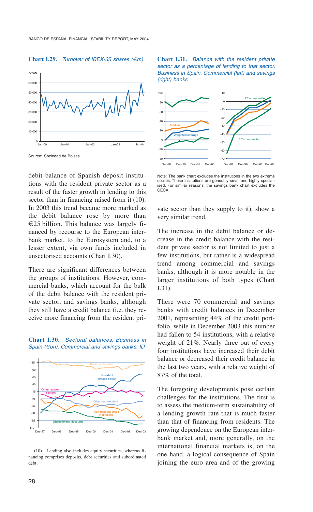#### **Chart I.29.** *Turnover of IBEX-35 shares (€m)*



Source: Sociedad de Bolsas.

debit balance of Spanish deposit institutions with the resident private sector as a result of the faster growth in lending to this sector than in financing raised from it  $(10)$ . In 2003 this trend became more marked as the debit balance rose by more than  $\epsilon$ 25 billion. This balance was largely financed by recourse to the European interbank market, to the Eurosystem and, to a lesser extent, via own funds included in unsectorised accounts (Chart I.30).

There are significant differences between the groups of institutions. However, commercial banks, which account for the bulk of the debit balance with the resident private sector, and savings banks, although they still have a credit balance (i.e. they receive more financing from the resident pri-



#### **Chart I.30.** *Sectoral balances. Business in Spain (€bn). Commercial and savings banks. ID*





Note: The bank chart excludes the institutions in the two extreme deciles. These institutions are generally small and highly specialised. For similar reasons, the savings bank chart excludes the CECA.

vate sector than they supply to it), show a very similar trend.

The increase in the debit balance or decrease in the credit balance with the resident private sector is not limited to just a few institutions, but rather is a widespread trend among commercial and savings banks, although it is more notable in the larger institutions of both types (Chart I.31).

There were 70 commercial and savings banks with credit balances in December 2001, representing 44% of the credit portfolio, while in December 2003 this number had fallen to 54 institutions, with a relative weight of 21%. Nearly three out of every four institutions have increased their debit balance or decreased their credit balance in the last two years, with a relative weight of 87% of the total.

The foregoing developments pose certain challenges for the institutions. The first is to assess the medium-term sustainability of a lending growth rate that is much faster than that of financing from residents. The growing dependence on the European interbank market and, more generally, on the international financial markets is, on the one hand, a logical consequence of Spain joining the euro area and of the growing

<sup>(10)</sup> Lending also includes equity securities, whereas financing comprises deposits, debt securities and subordinated debt.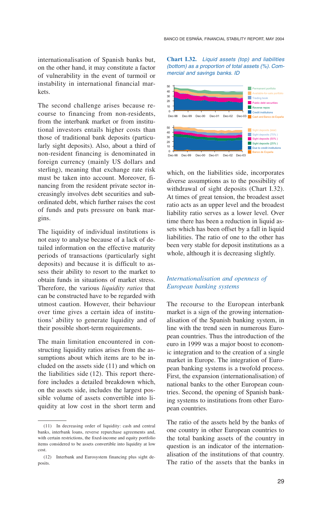internationalisation of Spanish banks but, on the other hand, it may constitute a factor of vulnerability in the event of turmoil or instability in international financial markets.

The second challenge arises because recourse to financing from non-residents, from the interbank market or from institutional investors entails higher costs than those of traditional bank deposits (particularly sight deposits). Also, about a third of non-resident financing is denominated in foreign currency (mainly US dollars and sterling), meaning that exchange rate risk must be taken into account. Moreover, financing from the resident private sector increasingly involves debt securities and subordinated debt, which further raises the cost of funds and puts pressure on bank margins.

The liquidity of individual institutions is not easy to analyse because of a lack of detailed information on the effective maturity periods of transactions (particularly sight deposits) and because it is difficult to assess their ability to resort to the market to obtain funds in situations of market stress. Therefore, the various *liquidity ratios* that can be constructed have to be regarded with utmost caution. However, their behaviour over time gives a certain idea of institutions' ability to generate liquidity and of their possible short-term requirements.

The main limitation encountered in constructing liquidity ratios arises from the assumptions about which items are to be included on the assets side (11) and which on the liabilities side (12). This report therefore includes a detailed breakdown which, on the assets side, includes the largest possible volume of assets convertible into liquidity at low cost in the short term and **Chart I.32.** *Liquid assets (top) and liabilities (bottom) as a proportion of total assets (%). Commercial and savings banks. ID*



which, on the liabilities side, incorporates diverse assumptions as to the possibility of withdrawal of sight deposits (Chart I.32). At times of great tension, the broadest asset ratio acts as an upper level and the broadest liability ratio serves as a lower level. Over time there has been a reduction in liquid assets which has been offset by a fall in liquid liabilities. The ratio of one to the other has been very stable for deposit institutions as a whole, although it is decreasing slightly.

## *Internationalisation and openness of European banking systems*

The recourse to the European interbank market is a sign of the growing internationalisation of the Spanish banking system, in line with the trend seen in numerous European countries. Thus the introduction of the euro in 1999 was a major boost to economic integration and to the creation of a single market in Europe. The integration of European banking systems is a twofold process. First, the expansion (internationalisation) of national banks to the other European countries. Second, the opening of Spanish banking systems to institutions from other European countries.

The ratio of the assets held by the banks of one country in other European countries to the total banking assets of the country in question is an indicator of the internationalisation of the institutions of that country. The ratio of the assets that the banks in

<sup>(11)</sup> In decreasing order of liquidity: cash and central banks, interbank loans, reverse repurchase agreements and, with certain restrictions, the fixed-income and equity portfolio items considered to be assets convertible into liquidity at low cost.

<sup>(12)</sup> Interbank and Eurosystem financing plus sight deposits.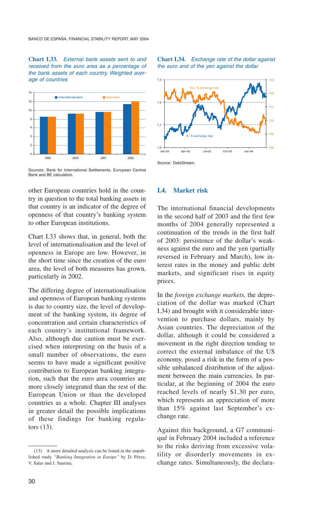**Chart I.33.** *External bank assets sent to and received from the euro area as a percentage of the bank assets of each country. Weighted average of countries*



Sources: Bank for International Settlements, European Central Bank and BE calculation.

other European countries hold in the country in question to the total banking assets in that country is an indicator of the degree of openness of that country's banking system to other European institutions.

Chart I.33 shows that, in general, both the level of internationalisation and the level of openness in Europe are low. However, in the short time since the creation of the euro area, the level of both measures has grown, particularly in 2002.

The differing degree of internationalisation and openness of European banking systems is due to country size, the level of development of the banking system, its degree of concentration and certain characteristics of each country's institutional framework. Also, although due caution must be exercised when interpreting on the basis of a small number of observations, the euro seems to have made a significant positive contribution to European banking integration, such that the euro area countries are more closely integrated than the rest of the European Union or than the developed countries as a whole. Chapter III analyses in greater detail the possible implications of these findings for banking regulators (13).

**Chart I.34.** *Exchange rate of the dollar against the euro and of the yen against the dollar*





## **I.4. Market risk**

The international financial developments in the second half of 2003 and the first few months of 2004 generally represented a continuation of the trends in the first half of 2003: persistence of the dollar's weakness against the euro and the yen (partially reversed in February and March), low interest rates in the money and public debt markets, and significant rises in equity prices.

In the *foreign exchange markets,* the depreciation of the dollar was marked (Chart I.34) and brought with it considerable intervention to purchase dollars, mainly by Asian countries. The depreciation of the dollar, although it could be considered a movement in the right direction tending to correct the external imbalance of the US economy, posed a risk in the form of a possible unbalanced distribution of the adjustment between the main currencies. In particular, at the beginning of 2004 the euro reached levels of nearly \$1.30 per euro, which represents an appreciation of more than 15% against last September's exchange rate.

Against this background, a G7 communiqué in February 2004 included a reference to the risks deriving from excessive volatility or disorderly movements in exchange rates. Simultaneously, the declara-

<sup>(13)</sup> A more detailed analysis can be found in the unpublished study *"Banking Integration in Europe"* by D. Pérez, V. Salas and J. Saurina.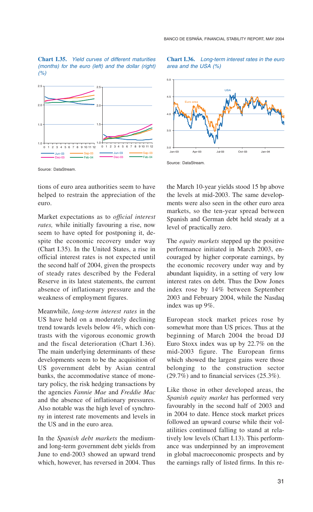**Chart I.35.** *Yield curves of different maturities (months) for the euro (left) and the dollar (right) (%)*



**Chart I.36.** *Long-term interest rates in the euro area and the USA (%)*



Source: DataStream.

tions of euro area authorities seem to have helped to restrain the appreciation of the euro.

Market expectations as to *official interest rates,* while initially favouring a rise, now seem to have opted for postponing it, despite the economic recovery under way (Chart I.35). In the United States, a rise in official interest rates is not expected until the second half of 2004, given the prospects of steady rates described by the Federal Reserve in its latest statements, the current absence of inflationary pressure and the weakness of employment figures.

Meanwhile, *long-term interest rates* in the US have held on a moderately declining trend towards levels below 4%, which contrasts with the vigorous economic growth and the fiscal deterioration (Chart I.36). The main underlying determinants of these developments seem to be the acquisition of US government debt by Asian central banks, the accommodative stance of monetary policy, the risk hedging transactions by the agencies *Fannie Mae* and *Freddie Mac* and the absence of inflationary pressures. Also notable was the high level of synchrony in interest rate movements and levels in the US and in the euro area.

In the *Spanish debt markets* the mediumand long-term government debt yields from June to end-2003 showed an upward trend which, however, has reversed in 2004. Thus

the March 10-year yields stood 15 bp above the levels at mid-2003. The same developments were also seen in the other euro area markets, so the ten-year spread between Spanish and German debt held steady at a level of practically zero.

The *equity markets* stepped up the positive performance initiated in March 2003, encouraged by higher corporate earnings, by the economic recovery under way and by abundant liquidity, in a setting of very low interest rates on debt. Thus the Dow Jones index rose by 14% between September 2003 and February 2004, while the Nasdaq index was up 9%.

European stock market prices rose by somewhat more than US prices. Thus at the beginning of March 2004 the broad DJ Euro Stoxx index was up by 22.7% on the mid-2003 figure. The European firms which showed the largest gains were those belonging to the construction sector (29.7%) and to financial services (25.3%).

Like those in other developed areas, the *Spanish equity market* has performed very favourably in the second half of 2003 and in 2004 to date. Hence stock market prices followed an upward course while their volatilities continued falling to stand at relatively low levels (Chart I.13). This performance was underpinned by an improvement in global macroeconomic prospects and by the earnings rally of listed firms. In this re-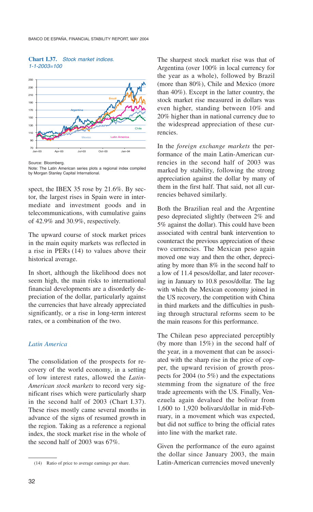#### **Chart I.37.** *Stock market indices. 1-1-2003=100*



Source: Bloomberg.

spect, the IBEX 35 rose by 21.6%. By sector, the largest rises in Spain were in intermediate and investment goods and in telecommunications, with cumulative gains of 42.9% and 30.9%, respectively.

The upward course of stock market prices in the main equity markets was reflected in a rise in PERs (14) to values above their historical average.

In short, although the likelihood does not seem high, the main risks to international financial developments are a disorderly depreciation of the dollar, particularly against the currencies that have already appreciated significantly, or a rise in long-term interest rates, or a combination of the two.

## *Latin America*

The consolidation of the prospects for recovery of the world economy, in a setting of low interest rates, allowed the *Latin-American stock markets* to record very significant rises which were particularly sharp in the second half of 2003 (Chart I.37). These rises mostly came several months in advance of the signs of resumed growth in the region. Taking as a reference a regional index, the stock market rise in the whole of the second half of 2003 was 67%.

The sharpest stock market rise was that of Argentina (over 100% in local currency for the year as a whole), followed by Brazil (more than 80%), Chile and Mexico (more than 40%). Except in the latter country, the stock market rise measured in dollars was even higher, standing between 10% and 20% higher than in national currency due to the widespread appreciation of these currencies.

In the *foreign exchange markets* the performance of the main Latin-American currencies in the second half of 2003 was marked by stability, following the strong appreciation against the dollar by many of them in the first half. That said, not all currencies behaved similarly.

Both the Brazilian real and the Argentine peso depreciated slightly (between 2% and 5% against the dollar). This could have been associated with central bank intervention to counteract the previous appreciation of these two currencies. The Mexican peso again moved one way and then the other, depreciating by more than 8% in the second half to a low of 11.4 pesos/dollar, and later recovering in January to 10.8 pesos/dollar. The lag with which the Mexican economy joined in the US recovery, the competition with China in third markets and the difficulties in pushing through structural reforms seem to be the main reasons for this performance.

The Chilean peso appreciated perceptibly (by more than 15%) in the second half of the year, in a movement that can be associated with the sharp rise in the price of copper, the upward revision of growth prospects for 2004 (to 5%) and the expectations stemming from the signature of the free trade agreements with the US. Finally, Venezuela again devalued the bolivar from 1,600 to 1,920 bolivars/dollar in mid-February, in a movement which was expected, but did not suffice to bring the official rates into line with the market rate.

Given the performance of the euro against the dollar since January 2003, the main Latin-American currencies moved unevenly

Note: The Latin American series plots a regional index compiled by Morgan Stanley Capital International.

<sup>(14)</sup> Ratio of price to average earnings per share.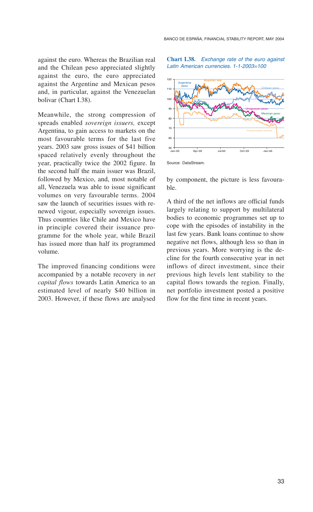against the euro. Whereas the Brazilian real and the Chilean peso appreciated slightly against the euro, the euro appreciated against the Argentine and Mexican pesos and, in particular, against the Venezuelan bolivar (Chart I.38).

Meanwhile, the strong compression of spreads enabled *sovereign issuers,* except Argentina, to gain access to markets on the most favourable terms for the last five years. 2003 saw gross issues of \$41 billion spaced relatively evenly throughout the year, practically twice the 2002 figure. In the second half the main issuer was Brazil, followed by Mexico, and, most notable of all, Venezuela was able to issue significant volumes on very favourable terms. 2004 saw the launch of securities issues with renewed vigour, especially sovereign issues. Thus countries like Chile and Mexico have in principle covered their issuance programme for the whole year, while Brazil has issued more than half its programmed volume.

The improved financing conditions were accompanied by a notable recovery in *net capital flows* towards Latin America to an estimated level of nearly \$40 billion in 2003. However, if these flows are analysed

**Chart I.38.** *Exchange rate of the euro against Latin American currencies. 1-1-2003=100*



by component, the picture is less favoura-

ble.

A third of the net inflows are official funds largely relating to support by multilateral bodies to economic programmes set up to cope with the episodes of instability in the last few years. Bank loans continue to show negative net flows, although less so than in previous years. More worrying is the decline for the fourth consecutive year in net inflows of direct investment, since their previous high levels lent stability to the capital flows towards the region. Finally, net portfolio investment posted a positive flow for the first time in recent years.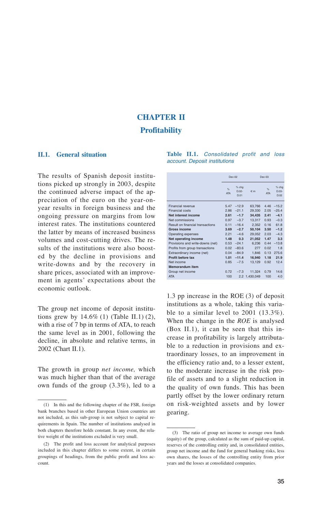# **CHAPTER II Profitability**

## **II.1. General situation**

The results of Spanish deposit institutions picked up strongly in 2003, despite the continued adverse impact of the appreciation of the euro on the year-onyear results in foreign business and the ongoing pressure on margins from low interest rates. The institutions countered the latter by means of increased business volumes and cost-cutting drives. The results of the institutions were also boosted by the decline in provisions and write-downs and by the recovery in share prices, associated with an improvement in agents' expectations about the economic outlook.

The group net income of deposit institutions grew by  $14.6\%$  (1) (Table II.1) (2), with a rise of 7 bp in terms of ATA, to reach the same level as in 2001, following the decline, in absolute and relative terms, in 2002 (Chart II.1).

The growth in group *net income,* which was much higher than that of the average own funds of the group (3.3%), led to a

#### **Table II.1.** *Consolidated profit and loss ac count. Deposit institutions*

|                                  | $Dec-02$                    |                             | $Dec-03$      |                             |                          |
|----------------------------------|-----------------------------|-----------------------------|---------------|-----------------------------|--------------------------|
|                                  | $\frac{1}{2}$<br><b>ATA</b> | $%$ chg<br>$D.02 -$<br>D.01 | $\notin$ m    | $\frac{1}{2}$<br><b>ATA</b> | % chg<br>$D.03-$<br>D.02 |
| Financial revenue                | 5.47                        | $-12.9$                     | 63.766        | 4.46                        | $-15.2$                  |
| Financial costs                  | 2.86                        | $-21.1$                     | 29,330        | 2.05                        | $-25.4$                  |
| Net interest income              | 2.61                        | $-1.7$                      | 34.435        | 2.41                        | $-4.1$                   |
| Net commissions                  | 0.97                        | $-3.7$                      | 13.317        | 0.93                        | $-0.3$                   |
| Result on financial transactions | 0.11                        | $-16.4$                     | 2,352         | 0.16                        | 61.8                     |
| Gross income                     | 3.69                        | $-2.7$                      | 50.104        | 3.50                        | $-1.2$                   |
| Operating expenses               | 2.21                        | $-4.6$                      | 29.052        | 2.03                        | $-4.3$                   |
| Net operating income             | 1.48                        | 0.3                         | 21,052        | 1.47                        | 3.3                      |
| Provisions and write-downs (net) | 0.53                        | $-24.1$                     | 6.236         | 0.44                        | $-13.8$                  |
| Profits from group transactions  | 0.02                        | $-83.6$                     | 277           | 0.02                        | 1.8                      |
| Extraordinary income (net)       | 0.04                        | $-84.9$                     | 1.846         | 0.13                        | 275.6                    |
| Profit before tax                | 1.01                        | $-11.4$                     | 16.940        | 1.18                        | 21.9                     |
| Net income                       | 0.85                        | $-7.5$                      | 13.129        | 0.92                        | 12.4                     |
| <b>Memorandum item</b>           |                             |                             |               |                             |                          |
| Group net income                 | 0.72                        | $-7.3$                      | 11.324        | 0.79                        | 14.6                     |
| <b>ATA</b>                       | 100                         |                             | 2.2 1,430,049 | 100                         | 4.0                      |
|                                  |                             |                             |               |                             |                          |

1.3 pp increase in the ROE (3) of deposit institutions as a whole, taking this variable to a similar level to 2001 (13.3%). When the change in the *ROE* is analysed (Box II.1), it can be seen that this increase in profitability is largely attributable to a reduction in provisions and extraordinary losses, to an improvement in the efficiency ratio and, to a lesser extent, to the moderate increase in the risk profile of assets and to a slight reduction in the quality of own funds. This has been partly offset by the lower ordinary return on risk-weighted assets and by lower gearing.

<sup>(1)</sup> In this and the following chapter of the FSR, foreign bank branches based in other European Union countries are not included, as this sub-group is not subject to capital requirements in Spain. The number of institutions analysed in both chapters therefore holds constant. In any event, the relative weight of the institutions excluded is very small.

<sup>(2)</sup> The profit and loss account for analytical purposes included in this chapter differs to some extent, in certain groupings of headings, from the public profit and loss account.

<sup>(3)</sup> The ratio of group net income to average own funds (equity) of the group, calculated as the sum of paid-up capital, reserves of the controlling entity and, in consolidated entities, group net income and the fund for general banking risks, less own shares, the losses of the controlling entity from prior years and the losses at consolidated companies.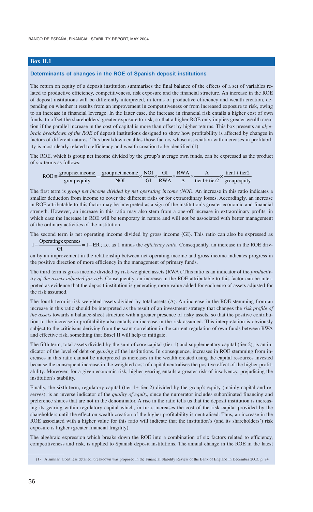## **Box II.1**

#### **Determinants of changes in the ROE of Spanish deposit institutions**

The return on equity of a deposit institution summarises the final balance of the effects of a set of variables related to productive efficiency, competitiveness, risk exposure and the financial structure. An increase in the ROE of deposit institutions will be differently interpreted, in terms of productive efficiency and wealth creation, depending on whether it results from an improvement in competitiveness or from increased exposure to risk, owing to an increase in financial leverage. In the latter case, the increase in financial risk entails a higher cost of own funds, to offset the shareholders' greater exposure to risk, so that a higher ROE only implies greater wealth creation if the parallel increase in the cost of capital is more than offset by higher returns. This box presents an *algebraic breakdown of the ROE* of deposit institutions designed to show how profitability is affected by changes in factors of different natures. This breakdown enables those factors whose association with increases in profitability is most clearly related to efficiency and wealth creation to be identified (1).

The ROE, which is group net income divided by the group's average own funds, can be expressed as the product of six terms as follows:

| $ROE \equiv \frac{groupnet income}{groupnet income}$ group net income NOI GI RWA |     |        |  | $tier1 + tier2$              |
|----------------------------------------------------------------------------------|-----|--------|--|------------------------------|
| group equity                                                                     | NOI | GI RWA |  | $tier1 + tier2$ group equity |

The first term is *group net income divided by net operating income (NOI).* An increase in this ratio indicates a smaller deduction from income to cover the different risks or for extraordinary losses. Accordingly, an increase in ROE attributable to this factor may be interpreted as a sign of the institution's greater economic and financial strength. However, an increase in this ratio may also stem from a one-off increase in extraordinary profits, in which case the increase in ROE will be temporary in nature and will not be associated with better management of the ordinary activities of the institution.

The second term is net operating income divided by gross income (GI). This ratio can also be expressed as

1 – Operating expenses = 1 – ER; i.e. as 1 minus the *efficiency ratio*. Consequently, an increase in the ROE driv-<br>
GI

en by an improvement in the relationship between net operating income and gross income indicates progress in the positive direction of more efficiency in the management of primary funds.

The third term is gross income divided by risk-weighted assets (RWA). This ratio is an indicator of the *productivity of the assets adjusted for risk.* Consequently, an increase in the ROE attributable to this factor can be interpreted as evidence that the deposit institution is generating more value added for each euro of assets adjusted for the risk assumed.

The fourth term is risk-weighted assets divided by total assets (A). An increase in the ROE stemming from an increase in this ratio should be interpreted as the result of an investment strategy that changes the *risk profile of the assets* towards a balance-sheet structure with a greater presence of risky assets, so that the positive contribution to the increase in profitability also entails an increase in the risk assumed. This interpretation is obviously subject to the criticisms deriving from the scant correlation in the current regulation of own funds between RWA and effective risk, something that Basel II will help to mitigate.

The fifth term, total assets divided by the sum of core capital (tier 1) and supplementary capital (tier 2), is an indicator of the level of debt or *gearing* of the institutions. In consequence, increases in ROE stemming from increases in this ratio cannot be interpreted as increases in the wealth created using the capital resources invested because the consequent increase in the weighted cost of capital neutralises the positive effect of the higher profitability. Moreover, for a given economic risk, higher gearing entails a greater risk of insolvency, prejudicing the institution's stability.

Finally, the sixth term, regulatory capital (tier 1+ tier 2) divided by the group's equity (mainly capital and reserves), is an inverse indicator of the *quality of equity,* since the numerator includes subordinated financing and preference shares that are not in the denominator. A rise in the ratio tells us that the deposit institution is increasing its gearing within regulatory capital which, in turn, increases the cost of the risk capital provided by the shareholders until the effect on wealth creation of the higher profitability is neutralised. Thus, an increase in the ROE associated with a higher value for this ratio will indicate that the institution's (and its shareholders') risk exposure is higher (greater financial fragility).

The algebraic expression which breaks down the ROE into a combination of six factors related to efficiency, competitiveness and risk, is applied to Spanish deposit institutions. The annual change in the ROE in the latest

<sup>(1)</sup> A similar, albeit less detailed, breakdown was proposed in the Financial Stability Review of the Bank of England in December 2003, p. 74.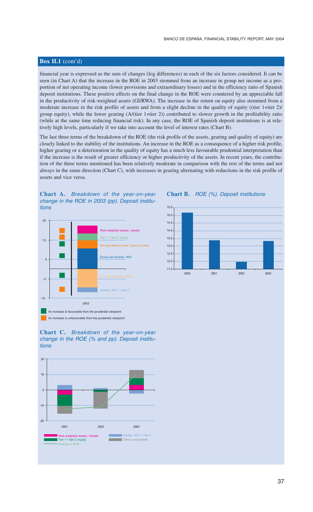## **Box II.1** (cont'd)

financial year is expressed as the sum of changes (log differences) in each of the six factors considered. It can be seen (in Chart A) that the increase in the ROE in 2003 stemmed from an increase in group net income as a proportion of net operating income (lower provisions and extraordinary losses) and in the efficiency ratio of Spanish deposit institutions. These positive effects on the final change in the ROE were countered by an appreciable fall in the productivity of risk-weighted assets (GI/RWA). The increase in the return on equity also stemmed from a moderate increase in the risk profile of assets and from a slight decline in the quality of equity ((tier 1+tier 2)/ group equity), while the lower gearing (A/(tier 1+tier 2)) contributed to slower growth in the profitability ratio (while at the same time reducing financial risk). In any case, the ROE of Spanish deposit institutions is at relatively high levels, particularly if we take into account the level of interest rates (Chart B).

The last three terms of the breakdown of the ROE (the risk profile of the assets, gearing and quality of equity) are closely linked to the stability of the institutions. An increase in the ROE as a consequence of a higher risk profile, higher gearing or a deterioration in the quality of equity has a much less favourable prudential interpretation than if the increase is the result of greater efficiency or higher productivity of the assets. In recent years, the contribution of the three terms mentioned has been relatively moderate in comparison with the rest of the terms and not always in the same direction (Chart C), with increases in gearing alternating with reductions in the risk profile of assets and vice versa.

#### **Chart A.** *Breakdown of the year-on-year change in the ROE in 2003 (pp). Deposit institutions*



#### **Chart B.** *ROE (%). Deposit institutions*



**Chart C.** *Breakdown of the year-on-year change in the ROE (% and pp). Deposit institutions*

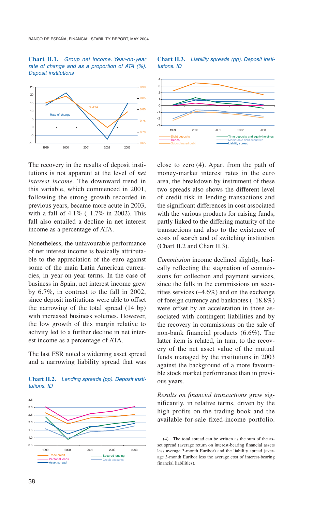#### **Chart II.1.** *Group net income. Year-on-year rate of change and as a proportion of ATA (%). Deposit institutions*



The recovery in the results of deposit institutions is not apparent at the level of *net interest income.* The downward trend in this variable, which commenced in 2001, following the strong growth recorded in previous years, became more acute in 2003, with a fall of  $4.1\%$  (-1.7% in 2002). This fall also entailed a decline in net interest income as a percentage of ATA.

Nonetheless, the unfavourable performance of net interest income is basically attributable to the appreciation of the euro against some of the main Latin American currencies, in year-on-year terms. In the case of business in Spain, net interest income grew by 6.7%, in contrast to the fall in 2002, since deposit institutions were able to offset the narrowing of the total spread (14 bp) with increased business volumes. However, the low growth of this margin relative to activity led to a further decline in net interest income as a percentage of ATA.

The last FSR noted a widening asset spread and a narrowing liability spread that was

#### **Chart II.2.** *Lending spreads (pp). Deposit institutions. ID*







close to zero (4). Apart from the path of money-market interest rates in the euro area, the breakdown by instrument of these two spreads also shows the different level of credit risk in lending transactions and the significant differences in cost associated with the various products for raising funds, partly linked to the differing maturity of the transactions and also to the existence of costs of search and of switching institution (Chart II.2 and Chart II.3).

*Commission* income declined slightly, basically reflecting the stagnation of commissions for collection and payment services, since the falls in the commissions on securities services (–4.6%) and on the exchange of foreign currency and banknotes (–18.8%) were offset by an acceleration in those associated with contingent liabilities and by the recovery in commissions on the sale of non-bank financial products (6.6%). The latter item is related, in turn, to the recovery of the net asset value of the mutual funds managed by the institutions in 2003 against the background of a more favourable stock market performance than in previous years.

*Results on financial transactions* grew significantly, in relative terms, driven by the high profits on the trading book and the available-for-sale fixed-income portfolio.

<sup>(4)</sup> The total spread can be written as the sum of the asset spread (average return on interest-bearing financial assets less average 3-month Euribor) and the liability spread (average 3-month Euribor less the average cost of interest-bearing financial liabilities).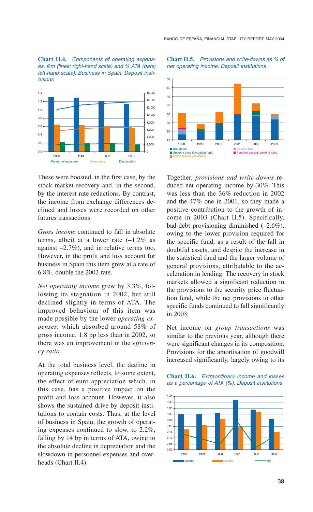**Chart II.4.** *Components of operating expenses. €m (lines; right-hand scale) and % ATA (bars; left-hand scale). Business in Spain. Deposit institutions*



These were boosted, in the first case, by the stock market recovery and, in the second, by the interest rate reductions. By contrast, the income from exchange differences declined and losses were recorded on other futures transactions.

*Gross income* continued to fall in absolute terms, albeit at a lower rate (–1.2% as against –2.7%), and in relative terms too. However, in the profit and loss account for business in Spain this item grew at a rate of 6.8%, double the 2002 rate.

*Net operating income* grew by 3.3%, following its stagnation in 2002, but still declined slightly in terms of ATA. The improved behaviour of this item was made possible by the lower *operating expenses,* which absorbed around 58% of gross income, 1.8 pp less than in 2002, so there was an improvement in the *efficiency ratio.*

At the total business level, the decline in operating expenses reflects, to some extent, the effect of euro appreciation which, in this case, has a positive impact on the profit and loss account. However, it also shows the sustained drive by deposit institutions to contain costs. Thus, at the level of business in Spain, the growth of operating expenses continued to slow, to 2.2%, falling by 14 bp in terms of ATA, owing to the absolute decline in depreciation and the slowdown in personnel expenses and overheads (Chart II.4).

**Chart II.5.** *Provisions and write-downs as % of net operating income. Deposit institutions*



Together, *provisions and write-downs* reduced net operating income by 30%. This was less than the 36% reduction in 2002 and the 47% one in 2001, so they made a positive contribution to the growth of income in 2003 (Chart II.5). Specifically, bad-debt provisioning diminished  $(-2.6\%)$ , owing to the lower provision required for the specific fund, as a result of the fall in doubtful assets, and despite the increase in the statistical fund and the larger volume of general provisions, attributable to the acceleration in lending. The recovery in stock markets allowed a significant reduction in the provisions to the security price fluctuation fund, while the net provisions to other specific funds continued to fall significantly in 2003.

Net income on *group transactions* was similar to the previous year, although there were significant changes in its composition. Provisions for the amortisation of goodwill increased significantly, largely owing to its



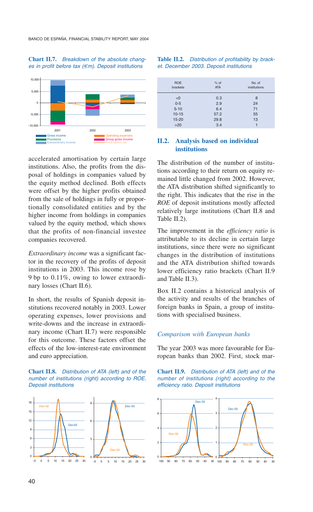#### **Chart II.7.** *Breakdown of the absolute changes in profit before tax (€m). Deposit institutions*



accelerated amortisation by certain large institutions. Also, the profits from the disposal of holdings in companies valued by the equity method declined. Both effects were offset by the higher profits obtained from the sale of holdings in fully or proportionally consolidated entities and by the higher income from holdings in companies valued by the equity method, which shows that the profits of non-financial investee companies recovered.

*Extraordinary income* was a significant factor in the recovery of the profits of deposit institutions in 2003. This income rose by 9 bp to 0.11%, owing to lower extraordinary losses (Chart II.6).

In short, the results of Spanish deposit institutions recovered notably in 2003. Lower operating expenses, lower provisions and write-downs and the increase in extraordinary income (Chart II.7) were responsible for this outcome. These factors offset the effects of the low-interest-rate environment and euro appreciation.

#### **Chart II.8.** *Distribution of ATA (left) and of the number of institutions (right) according to ROE. Deposit institutions*



#### **Table II.2.** *Distribution of profitability by bracket. December 2003. Deposit institutions*

| <b>ROE</b> | $%$ of     | No. of       |
|------------|------------|--------------|
| brackets   | <b>ATA</b> | institutions |
| < 0        | 0.3        | 8            |
| $0 - 5$    | 2.9        | 24           |
| $5 - 10$   | 6.4        | 71           |
| $10 - 15$  | 57.2       | 55           |
| $15 - 20$  | 29.8       | 13           |
| >20        | 3.4        |              |

## **II.2. Analysis based on individual institutions**

The distribution of the number of institutions according to their return on equity remained little changed from 2002. However, the ATA distribution shifted significantly to the right. This indicates that the rise in the *ROE* of deposit institutions mostly affected relatively large institutions (Chart II.8 and Table II.2).

The improvement in the *efficiency ratio* is attributable to its decline in certain large institutions, since there were no significant changes in the distribution of institutions and the ATA distribution shifted towards lower efficiency ratio brackets (Chart II.9 and Table II.3).

Box II.2 contains a historical analysis of the activity and results of the branches of foreign banks in Spain, a group of institutions with specialised business.

#### *Comparison with European banks*

The year 2003 was more favourable for European banks than 2002. First, stock mar-

**Chart II.9.** *Distribution of ATA (left) and of the number of institutions (right) according to the efficiency ratio. Deposit institutions*

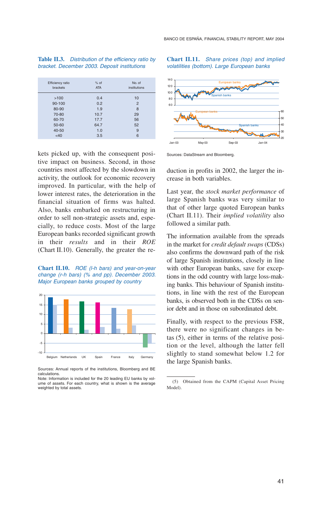#### **Table II.3.** *Distribution of the efficiency ratio by bracket. December 2003. Deposit institutions*

| Efficiency ratio<br>brackets | $%$ of<br><b>ATA</b> | No. of<br>institutions |
|------------------------------|----------------------|------------------------|
| >100                         | 0.4                  | 10                     |
| 90-100                       | 0.2                  | $\overline{2}$         |
| 80-90                        | 1.9                  | 8                      |
| 70-80                        | 10.7                 | 29                     |
| 60-70                        | 17.7                 | 56                     |
| 50-60                        | 64.7                 | 52                     |
| 40-50                        | 1.0                  | 9                      |
| <40                          | 3.5                  | 6                      |
|                              |                      |                        |

kets picked up, with the consequent positive impact on business. Second, in those countries most affected by the slowdown in activity, the outlook for economic recovery improved. In particular, with the help of lower interest rates, the deterioration in the financial situation of firms was halted. Also, banks embarked on restructuring in order to sell non-strategic assets and, especially, to reduce costs. Most of the large European banks recorded significant growth in their *results* and in their *ROE* (Chart II.10). Generally, the greater the re-

**Chart II.10.** *ROE (l-h bars) and year-on-year change (r-h bars) (% and pp). December 2003. Major European banks grouped by country*



Sources: Annual reports of the institutions, Bloomberg and BE calculations.

#### **Chart II.11.** *Share prices (top) and implied volatilities (bottom). Large European banks*



Sources: DataStream and Bloomberg.

duction in profits in 2002, the larger the increase in both variables.

Last year, the *stock market performance* of large Spanish banks was very similar to that of other large quoted European banks (Chart II.11). Their *implied volatility* also followed a similar path.

The information available from the spreads in the market for *credit default swaps* (CDSs) also confirms the downward path of the risk of large Spanish institutions, closely in line with other European banks, save for exceptions in the odd country with large loss-making banks. This behaviour of Spanish institutions, in line with the rest of the European banks, is observed both in the CDSs on senior debt and in those on subordinated debt.

Finally, with respect to the previous FSR, there were no significant changes in betas (5), either in terms of the relative position or the level, although the latter fell slightly to stand somewhat below 1.2 for the large Spanish banks.

Note: Information is included for the 20 leading EU banks by volume of assets. For each country, what is shown is the average weighted by total assets.

<sup>(5)</sup> Obtained from the CAPM (Capital Asset Pricing Model).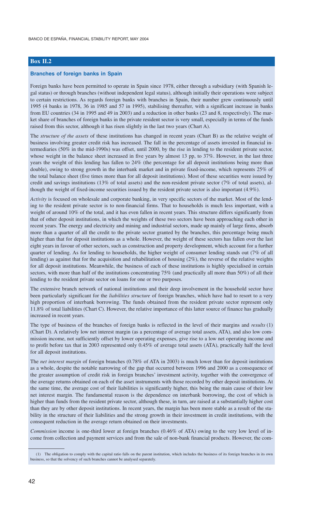## **Box II.2**

#### **Branches of foreign banks in Spain**

Foreign banks have been permitted to operate in Spain since 1978, either through a subsidiary (with Spanish legal status) or through branches (without independent legal status), although initially their operations were subject to certain restrictions. As regards foreign banks with branches in Spain, their number grew continuously until 1995 (4 banks in 1978, 36 in 1985 and 57 in 1995), stabilising thereafter, with a significant increase in banks from EU countries (34 in 1995 and 49 in 2003) and a reduction in other banks (23 and 8, respectively). The market share of branches of foreign banks in the private resident sector is very small, especially in terms of the funds raised from this sector, although it has risen slightly in the last two years (Chart A).

The *structure of the assets* of these institutions has changed in recent years (Chart B) as the relative weight of business involving greater credit risk has increased. The fall in the percentage of assets invested in financial intermediaries (50% in the mid-1990s) was offset, until 2000, by the rise in lending to the resident private sector, whose weight in the balance sheet increased in five years by almost 13 pp, to 37%. However, in the last three years the weight of this lending has fallen to 24% (the percentage for all deposit institutions being more than double), owing to strong growth in the interbank market and in private fixed-income, which represents 25% of the total balance sheet (five times more than for all deposit institutions). Most of these securities were issued by credit and savings institutions (13% of total assets) and the non-resident private sector (7% of total assets), although the weight of fixed-income securities issued by the resident private sector is also important (4.9%).

*Activity* is focused on wholesale and corporate banking, in very specific sectors of the market. Most of the lending to the resident private sector is to non-financial firms. That to households is much less important, with a weight of around 10% of the total, and it has even fallen in recent years. This structure differs significantly from that of other deposit institutions, in which the weights of these two sectors have been approaching each other in recent years. The energy and electricity and mining and industrial sectors, made up mainly of large firms, absorb more than a quarter of all the credit to the private sector granted by the branches, this percentage being much higher than that for deposit institutions as a whole. However, the weight of these sectors has fallen over the last eight years in favour of other sectors, such as construction and property development, which account for a further quarter of lending. As for lending to households, the higher weight of consumer lending stands out (7% of all lending) as against that for the acquisition and rehabilitation of housing (2%), the reverse of the relative weights for all deposit institutions. Meanwhile, the business of each of these institutions is highly specialised in certain sectors, with more than half of the institutions concentrating 75% (and practically all more than 50%) of all their lending to the resident private sector on loans for one or two purposes.

The extensive branch network of national institutions and their deep involvement in the household sector have been particularly significant for the *liabilities structure* of foreign branches, which have had to resort to a very high proportion of interbank borrowing. The funds obtained from the resident private sector represent only 11.8% of total liabilities (Chart C). However, the relative importance of this latter source of finance has gradually increased in recent years.

The type of business of the branches of foreign banks is reflected in the level of their margins and *results* (1) (Chart D). A relatively low net interest margin (as a percentage of average total assets, ATA), and also low commission income, not sufficiently offset by lower operating expenses, give rise to a low net operating income and to profit before tax that in 2003 represented only 0.45% of average total assets (ATA), practically half the level for all deposit institutions.

The *net interest margin* of foreign branches (0.78% of ATA in 2003) is much lower than for deposit institutions as a whole, despite the notable narrowing of the gap that occurred between 1996 and 2000 as a consequence of the greater assumption of credit risk in foreign branches' investment activity, together with the convergence of the average returns obtained on each of the asset instruments with those recorded by other deposit institutions. At the same time, the average cost of their liabilities is significantly higher, this being the main cause of their low net interest margin. The fundamental reason is the dependence on interbank borrowing, the cost of which is higher than funds from the resident private sector, although these, in turn, are raised at a substantially higher cost than they are by other deposit institutions. In recent years, the margin has been more stable as a result of the stability in the structure of their liabilities and the strong growth in their investment in credit institutions, with the consequent reduction in the average return obtained on their investments.

*Commission* income is one-third lower at foreign branches (0.46% of ATA) owing to the very low level of income from collection and payment services and from the sale of non-bank financial products. However, the com-

<sup>(1)</sup> The obligation to comply with the capital ratio falls on the parent institution, which includes the business of its foreign branches in its own business, so that the solvency of such branches cannot be analysed separately.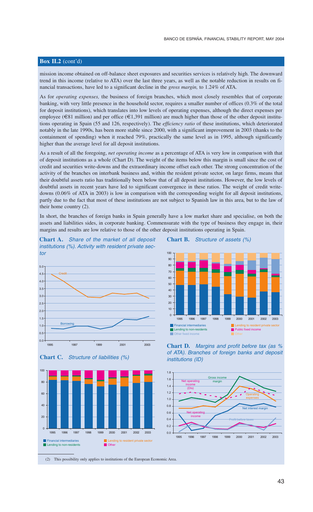## **Box II.2** (cont'd)

mission income obtained on off-balance sheet exposures and securities services is relatively high. The downward trend in this income (relative to ATA) over the last three years, as well as the notable reduction in results on financial transactions, have led to a significant decline in the *gross margin,* to 1.24% of ATA.

As for *operating expenses,* the business of foreign branches, which most closely resembles that of corporate banking, with very little presence in the household sector, requires a smaller number of offices (0.3% of the total for deposit institutions), which translates into low levels of operating expenses, although the direct expenses per employee (€81 million) and per office (€1,391 million) are much higher than those of the other deposit institutions operating in Spain (55 and 126, respectively). The *efficiency ratio* of these institutions, which deteriorated notably in the late 1990s, has been more stable since 2000, with a significant improvement in 2003 (thanks to the containment of spending) when it reached 79%, practically the same level as in 1995, although significantly higher than the average level for all deposit institutions.

As a result of all the foregoing, *net operating income* as a percentage of ATA is very low in comparison with that of deposit institutions as a whole (Chart D). The weight of the items below this margin is small since the cost of credit and securities write-downs and the extraordinary income offset each other. The strong concentration of the activity of the branches on interbank business and, within the resident private sector, on large firms, means that their doubtful assets ratio has traditionally been below that of all deposit institutions. However, the low levels of doubtful assets in recent years have led to significant convergence in these ratios. The weight of credit writedowns (0.06% of ATA in 2003) is low in comparison with the corresponding weight for all deposit institutions, partly due to the fact that most of these institutions are not subject to Spanish law in this area, but to the law of their home country (2).

In short, the branches of foreign banks in Spain generally have a low market share and specialise, on both the assets and liabilities sides, in corporate banking. Commensurate with the type of business they engage in, their margins and results are low relative to those of the other deposit institutions operating in Spain.









**Chart B.** *Structure of assets (%)*

Lending to non-residents

Other fixed income **Other** Other

**Chart D.** *Margins and profit before tax (as % of ATA). Branches of foreign banks and deposit institutions (ID)*





(2) This possibility only applies to institutions of the European Economic Area.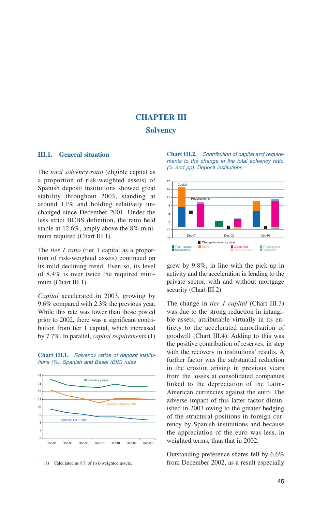## **CHAPTER III Solvency**

## **III.1. General situation**

The *total solvency ratio* (eligible capital as a proportion of risk-weighted assets) of Spanish deposit institutions showed great stability throughout 2003, standing at around 11% and holding relatively unchanged since December 2001. Under the less strict BCBS definition, the ratio held stable at 12.6%, amply above the 8% minimum required (Chart III.1).

The *tier 1 ratio* (tier 1 capital as a proportion of risk-weighted assets) continued on its mild declining trend. Even so, its level of 8.4% is over twice the required minimum (Chart III.1).

*Capital* accelerated in 2003, growing by 9.6% compared with 2.3% the previous year. While this rate was lower than those posted prior to 2002, there was a significant contribution from tier 1 capital, which increased by 7.7%. In parallel, *capital requirements* (1)





(1) Calculated as 8% of risk-weighted assets.

**Chart III.2.** *Contribution of capital and requirements to the change in the total solvency ratio. (% and pp). Deposit institutions*



grew by 9.8%, in line with the pick-up in activity and the acceleration in lending to the private sector, with and without mortgage security (Chart III.2).

The change in *tier 1 capital* (Chart III.3) was due to the strong reduction in intangible assets, attributable virtually in its entirety to the accelerated amortisation of goodwill (Chart III.4). Adding to this was the positive contribution of reserves, in step with the recovery in institutions' results. A further factor was the substantial reduction in the erosion arising in previous years from the losses at consolidated companies linked to the depreciation of the Latin-American currencies against the euro. The adverse impact of this latter factor diminished in 2003 owing to the greater hedging of the structural positions in foreign currency by Spanish institutions and because the appreciation of the euro was less, in weighted terms, than that in 2002.

Outstanding preference shares fell by 6.6% from December 2002, as a result especially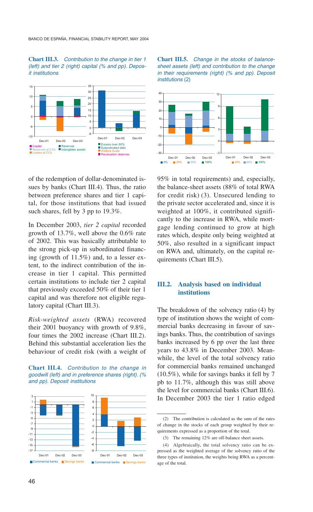BANCO DE ESPAÑA, FINANCIAL STABILITY REPORT, MAY 2004

**Chart III.3.** *Contribution to the change in tier 1 (left) and tier 2 (right) capital (% and pp). Deposit institutions*



of the redemption of dollar-denominated issues by banks (Chart III.4). Thus, the ratio between preference shares and tier 1 capital, for those institutions that had issued such shares, fell by 3 pp to 19.3%.

In December 2003, *tier 2 capital* recorded growth of 13.7%, well above the 0.6% rate of 2002. This was basically attributable to the strong pick-up in subordinated financing (growth of 11.5%) and, to a lesser extent, to the indirect contribution of the increase in tier 1 capital. This permitted certain institutions to include tier 2 capital that previously exceeded 50% of their tier 1 capital and was therefore not eligible regulatory capital (Chart III.3).

*Risk-weighted assets* (RWA) recovered their 2001 buoyancy with growth of 9.8%, four times the 2002 increase (Chart III.2). Behind this substantial acceleration lies the behaviour of credit risk (with a weight of





**Chart III.5.** *Change in the stocks of balancesheet assets (left) and contribution to the change in their requirements (right) (% and pp). Deposit institutions* (2)



95% in total requirements) and, especially, the balance-sheet assets (88% of total RWA for credit risk) (3). Unsecured lending to the private sector accelerated and, since it is weighted at 100%, it contributed significantly to the increase in RWA, while mortgage lending continued to grow at high rates which, despite only being weighted at 50%, also resulted in a significant impact on RWA and, ultimately, on the capital requirements (Chart III.5).

## **III.2. Analysis based on individual institutions**

The breakdown of the solvency ratio (4) by type of institution shows the weight of commercial banks decreasing in favour of savings banks. Thus, the contribution of savings banks increased by 6 pp over the last three years to 43.8% in December 2003. Meanwhile, the level of the total solvency ratio for commercial banks remained unchanged (10.5%), while for savings banks it fell by 7 pb to 11.7%, although this was still above the level for commercial banks (Chart III.6). In December 2003 the tier 1 ratio edged

<sup>(2)</sup> The contribution is calculated as the sum of the rates of change in the stocks of each group weighted by their requirements expressed as a proportion of the total.

<sup>(3)</sup> The remaining 12% are off-balance sheet assets.

<sup>(4)</sup> Algebraically, the total solvency ratio can be expressed as the weighted average of the solvency ratio of the three types of institution, the weights being RWA as a percentage of the total.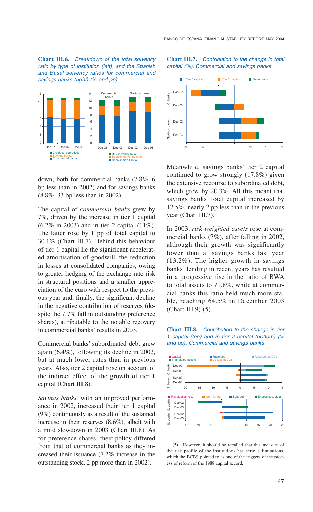**Chart III.6.** *Breakdown of the total solvency ratio by type of institution (left), and the Spanish and Basel solvency ratios for commercial and savings banks (right) (% and pp)*



down, both for commercial banks (7.8%, 6 bp less than in 2002) and for savings banks (8.8%, 33 bp less than in 2002).

The capital of *commercial banks* grew by 7%, driven by the increase in tier 1 capital (6.2% in 2003) and in tier 2 capital (11%). The latter rose by 1 pp of total capital to 30.1% (Chart III.7). Behind this behaviour of tier 1 capital lie the significant accelerated amortisation of goodwill, the reduction in losses at consolidated companies, owing to greater hedging of the exchange rate risk in structural positions and a smaller appreciation of the euro with respect to the previous year and, finally, the significant decline in the negative contribution of reserves (despite the 7.7% fall in outstanding preference shares), attributable to the notable recovery in commercial banks' results in 2003.

Commercial banks' subordinated debt grew again (6.4%), following its decline in 2002, but at much lower rates than in previous years. Also, tier 2 capital rose on account of the indirect effect of the growth of tier 1 capital (Chart III.8).

*Savings banks,* with an improved performance in 2002, increased their tier 1 capital (9%) continuously as a result of the sustained increase in their reserves (8.6%), albeit with a mild slowdown in 2003 (Chart III.8). As for preference shares, their policy differed from that of commercial banks as they increased their issuance (7.2% increase in the outstanding stock, 2 pp more than in 2002).

#### **Chart III.7.** *Contribution to the change in total capital (%). Commercial and savings banks*



Meanwhile, savings banks' tier 2 capital continued to grow strongly (17.8%) given the extensive recourse to subordinated debt, which grew by 20.3%. All this meant that savings banks' total capital increased by 12.5%, nearly 2 pp less than in the previous year (Chart III.7).

In 2003, *risk-weighted assets* rose at commercial banks (7%), after falling in 2002, although their growth was significantly lower than at savings banks last year (13.2%). The higher growth in savings banks' lending in recent years has resulted in a progressive rise in the ratio of RWA to total assets to 71.8%, while at commercial banks this ratio held much more stable, reaching 64.5% in December 2003 (Chart III.9) (5).





<sup>(5)</sup> However, it should be recalled that this measure of the risk profile of the institutions has serious limitations, which the BCBS pointed to as one of the triggers of the process of reform of the 1988 capital accord.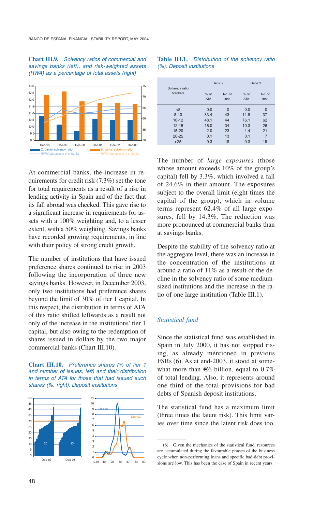#### **Chart III.9.** *Solvency ratios of commercial and savings banks (left), and risk-weighted assets (RWA) as a percentage of total assets (right)*



At commercial banks, the increase in requirements for credit risk (7.3%) set the tone for total requirements as a result of a rise in lending activity in Spain and of the fact that its fall abroad was checked. This gave rise to a significant increase in requirements for assets with a 100% weighting and, to a lesser extent, with a 50% weighting. Savings banks have recorded growing requirements, in line with their policy of strong credit growth.

The number of institutions that have issued preference shares continued to rise in 2003 following the incorporation of three new savings banks. However, in December 2003, only two institutions had preference shares beyond the limit of 30% of tier 1 capital. In this respect, the distribution in terms of ATA of this ratio shifted leftwards as a result not only of the increase in the institutions' tier 1 capital, but also owing to the redemption of shares issued in dollars by the two major commercial banks (Chart III.10).

**Chart III.10.** *Preference shares (% of tier 1 and number of issues, left) and their distribution in terms of ATA for those that had issued such shares (%, right). Deposit institutions*



#### **Table III.1.** *Distribution of the solvency ratio (%). Deposit institutions*

| Solvency ratio |                      | $Dec-02$        | $Dec-03$           |                 |  |
|----------------|----------------------|-----------------|--------------------|-----------------|--|
| brackets       | $%$ of<br><b>ATA</b> | No. of<br>inst. | % of<br><b>ATA</b> | No. of<br>inst. |  |
| <8             | 0.0                  | $\Omega$        | 0.0                | $\Omega$        |  |
| $8 - 10$       | 33.4                 | 43              | 11.9               | 37              |  |
| $10 - 12$      | 48.1                 | 44              | 76.1               | 62              |  |
| $12 - 15$      | 16.0                 | 34              | 10.3               | 26              |  |
| $15 - 20$      | 2.0                  | 23              | 1.4                | 21              |  |
| $20 - 25$      | 0.1                  | 13              | 0.1                |                 |  |
| >25            | 0.3                  | 18              | 0.3                | 19              |  |

The number of *large exposures* (those whose amount exceeds 10% of the group's capital) fell by 3.3%, which involved a fall of 24.6% in their amount. The exposures subject to the overall limit (eight times the capital of the group), which in volume terms represent 62.4% of all large exposures, fell by 14.3%. The reduction was more pronounced at commercial banks than at savings banks.

Despite the stability of the solvency ratio at the aggregate level, there was an increase in the concentration of the institutions at around a ratio of 11% as a result of the decline in the solvency ratio of some mediumsized institutions and the increase in the ratio of one large institution (Table III.1).

## *Statistical fund*

Since the statistical fund was established in Spain in July 2000, it has not stopped rising, as already mentioned in previous FSRs (6). As at end-2003, it stood at somewhat more than  $\epsilon$ 6 billion, equal to 0.7% of total lending. Also, it represents around one third of the total provisions for bad debts of Spanish deposit institutions.

The statistical fund has a maximum limit (three times the latent risk). This limit varies over time since the latent risk does too.

<sup>(6)</sup> Given the mechanics of the statistical fund, resources are accumulated during the favourable phases of the business cycle when non-performing loans and specific bad-debt provisions are low. This has been the case of Spain in recent years.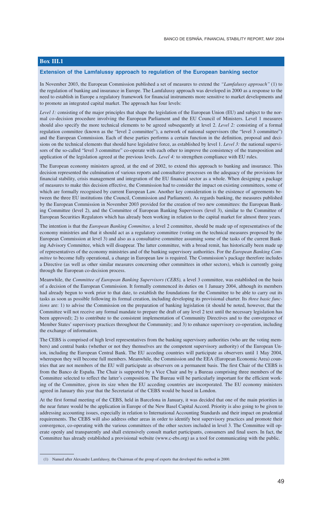## **Box III.1**

#### **Extension of the Lamfalussy approach to regulation of the European banking sector**

In November 2003, the European Commission published a set of measures to extend the *"Lamfalussy approach"* (1) to the regulation of banking and insurance in Europe. The Lamfalussy approach was developed in 2000 as a response to the need to establish in Europe a regulatory framework for financial instruments more sensitive to market developments and to promote an integrated capital market. The approach has four levels:

*Level 1:* consisting of the major principles that shape the legislation of the European Union (EU) and subject to the normal co-decision procedure involving the European Parliament and the EU Council of Ministers. Level 1 measures should also specify the more technical elements to be agreed subsequently at level 2. *Level 2:* consisting of a formal regulation committee (known as the "level 2 committee"), a network of national supervisors (the "level 3 committee") and the European Commission. Each of these parties performs a certain function in the definition, proposal and decisions on the technical elements that should have legislative force, as established by level 1. *Level 3:* the national supervisors of the so-called "level 3 committee" co-operate with each other to improve the consistency of the transposition and application of the legislation agreed at the previous levels. *Level 4:* to strengthen compliance with EU rules.

The European economy ministers agreed, at the end of 2002, to extend this approach to banking and insurance. This decision represented the culmination of various reports and consultative processes on the adequacy of the provisions for financial stability, crisis management and integration of the EU financial sector as a whole. When designing a package of measures to make this decision effective, the Commission had to consider the impact on existing committees, some of which are formally recognised by current European Law. Another key consideration is the existence of agreements between the three EU institutions (the Council, Commission and Parliament). As regards banking, the measures published by the European Commission in November 2003 provided for the creation of two new committees: the European Banking Committee (level 2), and the Committee of European Banking Supervisors (level 3), similar to the Committee of European Securities Regulators which has already been working in relation to the capital market for almost three years.

The intention is that the *European Banking Committee,* a level 2 committee, should be made up of representatives of the economy ministries and that it should act as a regulatory committee (voting on the technical measures proposed by the European Commission at level 3) and also as a consultative committee assuming some of the tasks of the current Banking Advisory Committee, which will disappear. The latter committee, with a broad remit, has historically been made up of representatives of the economy ministries and of the banking supervisory authorities. For the *European Banking Committee* to become fully operational, a change in European law is required. The Commission's package therefore includes a Directive (as well as other similar measures concerning other committees in other sectors), which is currently going through the European co-decision process.

Meanwhile, the *Committee of European Banking Supervisors (CEBS),* a level 3 committee, was established on the basis of a decision of the European Commission. It formally commenced its duties on 1 January 2004, although its members had already begun to work prior to that date, to establish the foundations for the Committee to be able to carry out its tasks as soon as possible following its formal creation, including developing its provisional charter. Its *three basic functions* are: 1) to advise the Commission on the preparation of banking legislation (it should be noted, however, that the Committee will not receive any formal mandate to prepare the draft of any level 2 text until the necessary legislation has been approved); 2) to contribute to the consistent implementation of Community Directives and to the convergence of Member States' supervisory practices throughout the Community; and 3) to enhance supervisory co-operation, including the exchange of information.

The CEBS is comprised of high level representatives from the banking supervisory authorities (who are the voting members) and central banks (whether or not they themselves are the competent supervisory authority) of the European Union, including the European Central Bank. The EU acceding countries will participate as observers until 1 May 2004, whereupon they will become full members. Meanwhile, the Commission and the EEA (European Economic Area) countries that are not members of the EU will participate as observers on a permanent basis. The first Chair of the CEBS is from the Banco de España. The Chair is supported by a Vice Chair and by a Bureau comprising three members of the Committee selected to reflect the latter's composition. The Bureau will be particularly important for the efficient working of the Committee, given its size when the EU acceding countries are incorporated. The EU economy ministers agreed in January this year that the Secretariat of the CEBS would be based in London.

At the first formal meeting of the CEBS, held in Barcelona in January, it was decided that one of the main priorities in the near future would be the application in Europe of the New Basel Capital Accord. Priority is also going to be given to addressing accounting issues, especially in relation to International Accounting Standards and their impact on prudential requirements. The CEBS will also address other areas in order to identify best supervisory practices and promote their convergence, co-operating with the various committees of the other sectors included in level 3. The Committee will operate openly and transparently and shall extensively consult market participants, consumers and final users. In fact, the Committee has already established a provisional website (www.c-ebs.org) as a tool for communicating with the public.

<sup>(1)</sup> Named after Alexandre Lamfalussy, the Chairman of the group of experts that developed this method in 2000.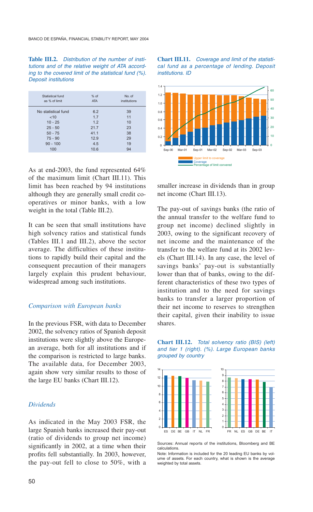BANCO DE ESPAÑA, FINANCIAL STABILITY REPORT, MAY 2004

**Table III.2.** *Distribution of the number of institutions and of the relative weight of ATA according to the covered limit of the statistical fund (%). Deposit institutions*

| Statistical fund<br>as % of limit | $%$ of<br><b>ATA</b> | No. of<br>institutions |
|-----------------------------------|----------------------|------------------------|
| No statistical fund               | 6.2                  | 39                     |
| < 10                              | 1.7                  | 11                     |
| $10 - 25$                         | 1.2                  | 10                     |
| $25 - 50$                         | 21.7                 | 23                     |
| $50 - 75$                         | 41.1                 | 38                     |
| $75 - 90$                         | 12.9                 | 29                     |
| $90 - 100$                        | 4.5                  | 19                     |
| 100                               | 10.6                 | 94                     |

As at end-2003, the fund represented 64% of the maximum limit (Chart III.11). This limit has been reached by 94 institutions although they are generally small credit cooperatives or minor banks, with a low weight in the total (Table III.2).

It can be seen that small institutions have high solvency ratios and statistical funds (Tables III.1 and III.2), above the sector average. The difficulties of these institutions to rapidly build their capital and the consequent precaution of their managers largely explain this prudent behaviour, widespread among such institutions.

### *Comparison with European banks*

In the previous FSR, with data to December 2002, the solvency ratios of Spanish deposit institutions were slightly above the European average, both for all institutions and if the comparison is restricted to large banks. The available data, for December 2003, again show very similar results to those of the large EU banks (Chart III.12).

## *Dividends*

As indicated in the May 2003 FSR, the large Spanish banks increased their pay-out (ratio of dividends to group net income) significantly in 2002, at a time when their profits fell substantially. In 2003, however, the pay-out fell to close to 50%, with a



smaller increase in dividends than in group net income (Chart III.13).

The pay-out of savings banks (the ratio of the annual transfer to the welfare fund to group net income) declined slightly in 2003, owing to the significant recovery of net income and the maintenance of the transfer to the welfare fund at its 2002 levels (Chart III.14). In any case, the level of savings banks' pay-out is substantially lower than that of banks, owing to the different characteristics of these two types of institution and to the need for savings banks to transfer a larger proportion of their net income to reserves to strengthen their capital, given their inability to issue shares.

**Chart III.12.** *Total solvency ratio (BIS) (left) and tier 1 (right). (%). Large European banks grouped by country*



Sources: Annual reports of the institutions, Bloomberg and BE calculations.

Note: Information is included for the 20 leading EU banks by volume of assets. For each country, what is shown is the average weighted by total assets.